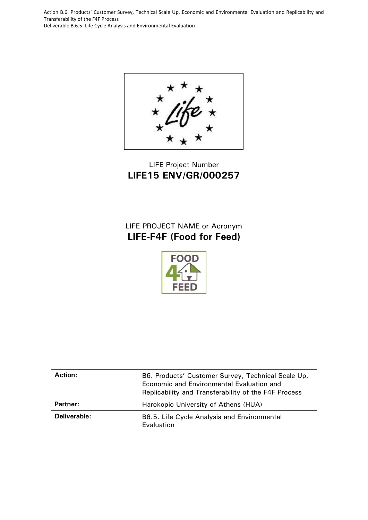Deliverable B.6.5- Life Cycle Analysis and Environmental Evaluation

# LIFE Project Number **LIFE15 ENV/GR/000257**

LIFE PROJECT NAME or Acronym **LIFE-F4F (Food for Feed)**



| <b>Action:</b> | B6. Products' Customer Survey, Technical Scale Up,<br>Economic and Environmental Evaluation and<br>Replicability and Transferability of the F4F Process |
|----------------|---------------------------------------------------------------------------------------------------------------------------------------------------------|
| Partner:       | Harokopio University of Athens (HUA)                                                                                                                    |
| Deliverable:   | B6.5. Life Cycle Analysis and Environmental<br>Evaluation                                                                                               |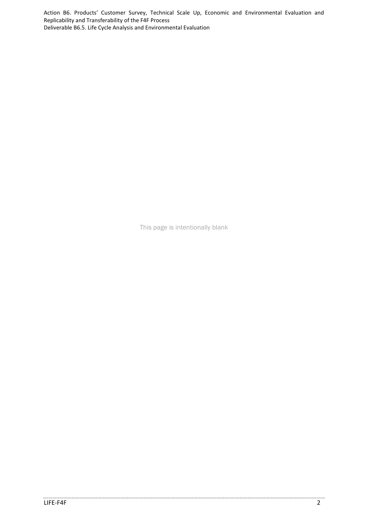This page is intentionally blank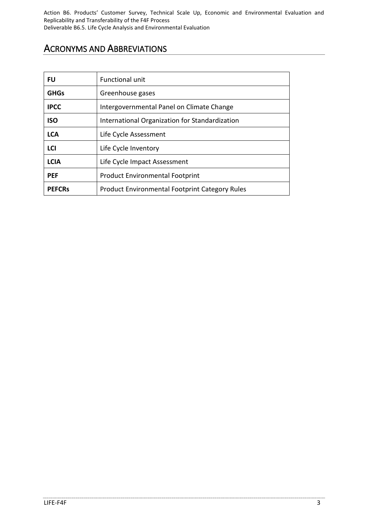# ACRONYMS AND ABBREVIATIONS

| FU            | <b>Functional unit</b>                                |
|---------------|-------------------------------------------------------|
| <b>GHGs</b>   | Greenhouse gases                                      |
| <b>IPCC</b>   | Intergovernmental Panel on Climate Change             |
| <b>ISO</b>    | International Organization for Standardization        |
| <b>LCA</b>    | Life Cycle Assessment                                 |
| LCI           | Life Cycle Inventory                                  |
| <b>LCIA</b>   | Life Cycle Impact Assessment                          |
| <b>PEF</b>    | <b>Product Environmental Footprint</b>                |
| <b>PEFCRS</b> | <b>Product Environmental Footprint Category Rules</b> |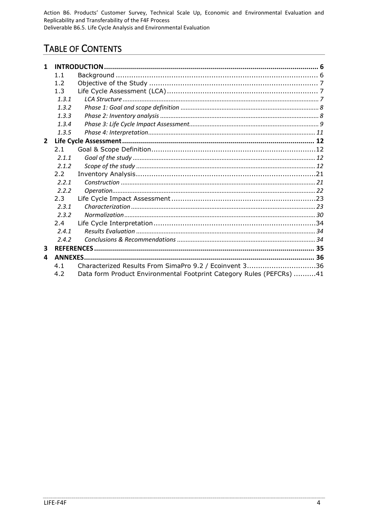**TABLE OF CONTENTS** 

| 1           |       |                                                                      |
|-------------|-------|----------------------------------------------------------------------|
|             | 1.1   |                                                                      |
|             | 1.2   |                                                                      |
|             | 1.3   |                                                                      |
|             | 1.3.1 |                                                                      |
|             | 1.3.2 |                                                                      |
|             | 1.3.3 |                                                                      |
|             | 1.3.4 |                                                                      |
|             | 1.3.5 |                                                                      |
| $2^{\circ}$ |       |                                                                      |
|             | 2.1   |                                                                      |
|             | 2.1.1 |                                                                      |
|             | 2.1.2 |                                                                      |
|             | 2.2   |                                                                      |
|             | 2.2.1 |                                                                      |
|             | 2.2.2 |                                                                      |
|             | 2.3   |                                                                      |
|             | 2.3.1 |                                                                      |
|             | 2.3.2 |                                                                      |
|             | 2.4   |                                                                      |
|             | 2.4.1 |                                                                      |
|             | 2.4.2 |                                                                      |
| 3           |       |                                                                      |
| 4           |       |                                                                      |
|             | 4.1   | Characterized Results From SimaPro 9.2 / Ecoinvent 336               |
|             | 4.2   | Data form Product Environmental Footprint Category Rules (PEFCRs) 41 |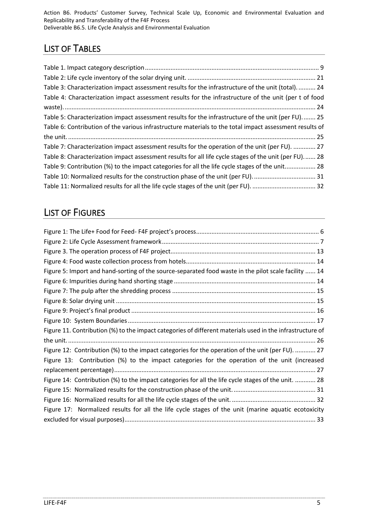# LIST OF TABLES

| Table 3: Characterization impact assessment results for the infrastructure of the unit (total) 24       |  |
|---------------------------------------------------------------------------------------------------------|--|
| Table 4: Characterization impact assessment results for the infrastructure of the unit (per t of food   |  |
|                                                                                                         |  |
| Table 5: Characterization impact assessment results for the infrastructure of the unit (per FU) 25      |  |
| Table 6: Contribution of the various infrastructure materials to the total impact assessment results of |  |
|                                                                                                         |  |
| Table 7: Characterization impact assessment results for the operation of the unit (per FU).  27         |  |
| Table 8: Characterization impact assessment results for all life cycle stages of the unit (per FU) 28   |  |
| Table 9: Contribution (%) to the impact categories for all the life cycle stages of the unit 28         |  |
|                                                                                                         |  |
|                                                                                                         |  |
|                                                                                                         |  |

# LIST OF FIGURES

| Figure 5: Import and hand-sorting of the source-separated food waste in the pilot scale facility  14      |
|-----------------------------------------------------------------------------------------------------------|
|                                                                                                           |
|                                                                                                           |
|                                                                                                           |
|                                                                                                           |
|                                                                                                           |
| Figure 11. Contribution (%) to the impact categories of different materials used in the infrastructure of |
|                                                                                                           |
| Figure 12: Contribution (%) to the impact categories for the operation of the unit (per FU).  27          |
| Figure 13: Contribution (%) to the impact categories for the operation of the unit (increased             |
|                                                                                                           |
| Figure 14: Contribution (%) to the impact categories for all the life cycle stages of the unit.  28       |
|                                                                                                           |
|                                                                                                           |
| Figure 17: Normalized results for all the life cycle stages of the unit (marine aquatic ecotoxicity       |
|                                                                                                           |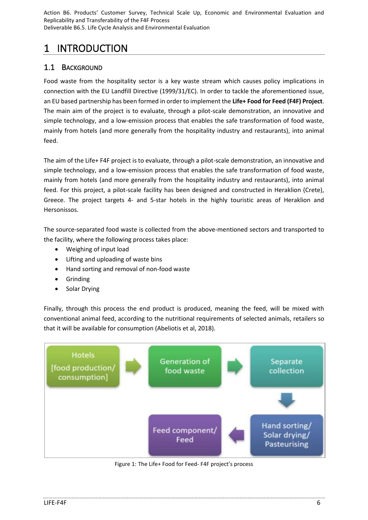# 1 INTRODUCTION

# 1.1 BACKGROUND

Food waste from the hospitality sector is a key waste stream which causes policy implications in connection with the EU Landfill Directive (1999/31/EC). In order to tackle the aforementioned issue, an EU based partnership has been formed in order to implement the **Life+ Food for Feed (F4F) Project**. The main aim of the project is to evaluate, through a pilot-scale demonstration, an innovative and simple technology, and a low-emission process that enables the safe transformation of food waste, mainly from hotels (and more generally from the hospitality industry and restaurants), into animal feed.

The aim of the Life+ F4F project is to evaluate, through a pilot-scale demonstration, an innovative and simple technology, and a low-emission process that enables the safe transformation of food waste, mainly from hotels (and more generally from the hospitality industry and restaurants), into animal feed. For this project, a pilot-scale facility has been designed and constructed in Heraklion (Crete), Greece. The project targets 4- and 5-star hotels in the highly touristic areas of Heraklion and Hersonissos.

The source-separated food waste is collected from the above-mentioned sectors and transported to the facility, where the following process takes place:

- Weighing of input load
- Lifting and uploading of waste bins
- Hand sorting and removal of non-food waste
- Grinding
- Solar Drying

Finally, through this process the end product is produced, meaning the feed, will be mixed with conventional animal feed, according to the nutritional requirements of selected animals, retailers so that it will be available for consumption (Abeliotis et al, 2018).



<span id="page-5-0"></span>Figure 1: The Life+ Food for Feed- F4F project's process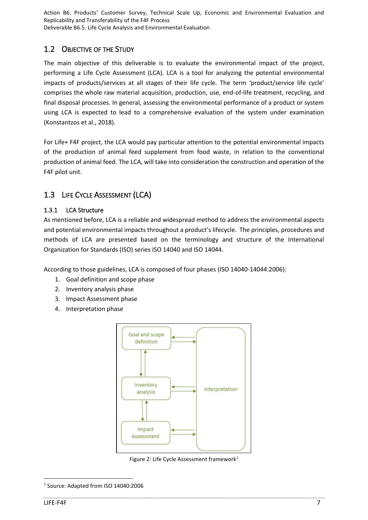# 1.2 OBJECTIVE OF THE STUDY

The main objective of this deliverable is to evaluate the environmental impact of the project, performing a Life Cycle Assessment (LCA). LCA is a tool for analyzing the potential environmental impacts of products/services at all stages of their life cycle. The term 'product/service life cycle' comprises the whole raw material acquisition, production, use, end-of-life treatment, recycling, and final disposal processes. In general, assessing the environmental performance of a product or system using LCA is expected to lead to a comprehensive evaluation of the system under examination (Konstantzos et al., 2018).

For Life+ F4F project, the LCA would pay particular attention to the potential environmental impacts of the production of animal feed supplement from food waste, in relation to the conventional production of animal feed. The LCA, will take into consideration the construction and operation of the F4F pilot unit.

# 1.3 LIFE CYCLE ASSESSMENT (LCA)

# 1.3.1 LCA Structure

As mentioned before, LCA is a reliable and widespread method to address the environmental aspects and potential environmental impacts throughout a product's lifecycle. The principles, procedures and methods of LCA are presented based on the terminology and structure of the International Organization for Standards (ISO) series ISO 14040 and ISO 14044.

According to those guidelines, LCA is composed of four phases (ISO 14040-14044:2006):

- 1. Goal definition and scope phase
- 2. Inventory analysis phase
- 3. Impact Assessment phase
- 4. Interpretation phase



Figure 2: Life Cycle Assessment framework<sup>1</sup>

<span id="page-6-0"></span><sup>&</sup>lt;sup>1</sup> Source: Adapted from ISO 14040:2006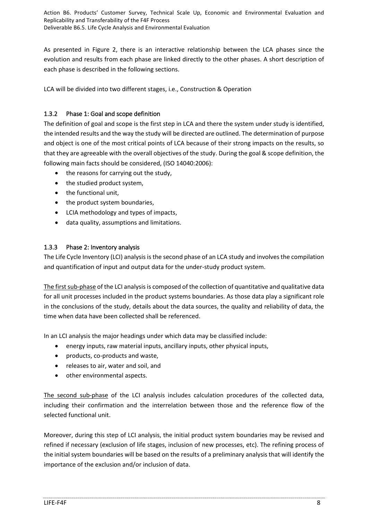As presented in [Figure 2,](#page-6-0) there is an interactive relationship between the LCA phases since the evolution and results from each phase are linked directly to the other phases. A short description of each phase is described in the following sections.

LCA will be divided into two different stages, i.e., Construction & Operation

# 1.3.2 Phase 1: Goal and scope definition

The definition of goal and scope is the first step in LCA and there the system under study is identified, the intended results and the way the study will be directed are outlined. The determination of purpose and object is one of the most critical points of LCA because of their strong impacts on the results, so that they are agreeable with the overall objectives of the study. During the goal & scope definition, the following main facts should be considered, (ISO 14040:2006):

- the reasons for carrying out the study,
- the studied product system,
- the functional unit,
- the product system boundaries,
- LCIA methodology and types of impacts,
- data quality, assumptions and limitations.

# 1.3.3 Phase 2: Inventory analysis

The Life Cycle Inventory (LCI) analysis is the second phase of an LCA study and involves the compilation and quantification of input and output data for the under-study product system.

The first sub-phase of the LCI analysis is composed of the collection of quantitative and qualitative data for all unit processes included in the product systems boundaries. As those data play a significant role in the conclusions of the study, details about the data sources, the quality and reliability of data, the time when data have been collected shall be referenced.

In an LCI analysis the major headings under which data may be classified include:

- energy inputs, raw material inputs, ancillary inputs, other physical inputs,
- products, co-products and waste,
- releases to air, water and soil, and
- other environmental aspects.

The second sub-phase of the LCI analysis includes calculation procedures of the collected data, including their confirmation and the interrelation between those and the reference flow of the selected functional unit.

Moreover, during this step of LCI analysis, the initial product system boundaries may be revised and refined if necessary (exclusion of life stages, inclusion of new processes, etc). The refining process of the initial system boundaries will be based on the results of a preliminary analysis that will identify the importance of the exclusion and/or inclusion of data.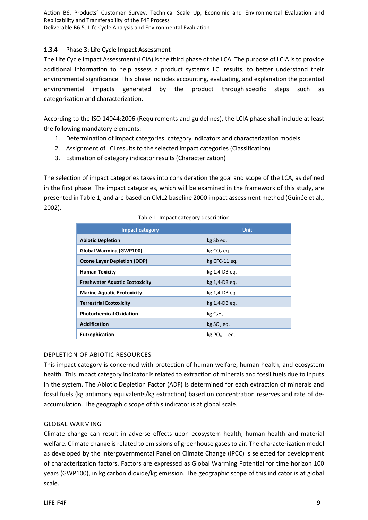#### 1.3.4 Phase 3: Life Cycle Impact Assessment

The Life Cycle Impact Assessment (LCIA) is the third phase of the LCA. The purpose of LCIA is to provide additional information to help assess a product system's LCI results, to better understand their environmental significance. This phase includes accounting, evaluating, and explanation the potential environmental impacts generated by the product through specific steps such as categorization and [characterization.](https://www.sciencedirect.com/topics/engineering/characterisation)

According to the ISO 14044:2006 (Requirements and guidelines), the LCIA phase shall include at least the following mandatory elements:

- 1. Determination of impact categories, category indicators and characterization models
- 2. Αssignment of LCI results to the selected impact categories (Classification)
- 3. Εstimation of category indicator results (Characterization)

The selection of impact categories takes into consideration the goal and scope of the LCA, as defined in the first phase. The impact categories, which will be examined in the framework of this study, are presented in [Table 1](#page-8-0), and are based on CML2 baseline 2000 impact assessment method (Guinée et al., 2002).

<span id="page-8-0"></span>

| <b>Impact category</b>                | <b>Unit</b>                     |
|---------------------------------------|---------------------------------|
| <b>Abiotic Depletion</b>              | kg Sb eq.                       |
| <b>Global Warming (GWP100)</b>        | $kg CO2$ eq.                    |
| <b>Ozone Layer Depletion (ODP)</b>    | kg CFC-11 eq.                   |
| <b>Human Toxicity</b>                 | kg 1,4-DB eq.                   |
| <b>Freshwater Aquatic Ecotoxicity</b> | kg 1,4-DB eq.                   |
| <b>Marine Aquatic Ecotoxicity</b>     | kg 1,4-DB eg.                   |
| <b>Terrestrial Ecotoxicity</b>        | kg 1,4-DB eq.                   |
| <b>Photochemical Oxidation</b>        | kgC <sub>2</sub> H <sub>2</sub> |
| <b>Acidification</b>                  | kg SO <sub>2</sub> eq.          |
| Eutrophication                        | $kg$ PO <sub>4</sub> --- eq.    |

#### Table 1. Impact category description

#### DEPLETION OF ABIOTIC RESOURCES

This impact category is concerned with protection of human welfare, human health, and ecosystem health. This impact category indicator is related to extraction of minerals and fossil fuels due to inputs in the system. The Abiotic Depletion Factor (ADF) is determined for each extraction of minerals and fossil fuels (kg antimony equivalents/kg extraction) based on concentration reserves and rate of deaccumulation. The geographic scope of this indicator is at global scale.

#### GLOBAL WARMING

Climate change can result in adverse effects upon ecosystem health, human health and material welfare. Climate change is related to emissions of greenhouse gases to air. The characterization model as developed by the Intergovernmental Panel on Climate Change (IPCC) is selected for development of characterization factors. Factors are expressed as Global Warming Potential for time horizon 100 years (GWP100), in kg carbon dioxide/kg emission. The geographic scope of this indicator is at global scale.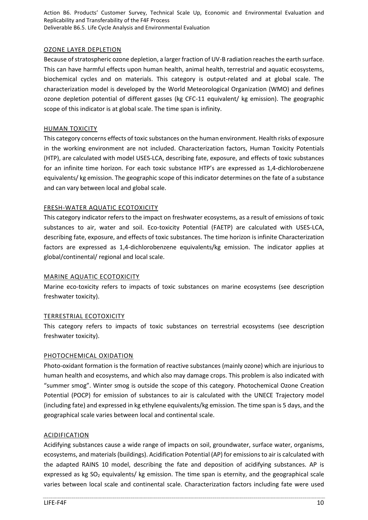#### OZONE LAYER DEPLETION

Because of stratospheric ozone depletion, a larger fraction of UV-B radiation reaches the earth surface. This can have harmful effects upon human health, animal health, terrestrial and aquatic ecosystems, biochemical cycles and on materials. This category is output-related and at global scale. The characterization model is developed by the World Meteorological Organization (WMO) and defines ozone depletion potential of different gasses (kg CFC-11 equivalent/ kg emission). The geographic scope of this indicator is at global scale. The time span is infinity.

#### HUMAN TOXICITY

This category concerns effects of toxic substances on the human environment. Health risks of exposure in the working environment are not included. Characterization factors, Human Toxicity Potentials (HTP), are calculated with model USES-LCA, describing fate, exposure, and effects of toxic substances for an infinite time horizon. For each toxic substance HTP's are expressed as 1,4-dichlorobenzene equivalents/ kg emission. The geographic scope of this indicator determines on the fate of a substance and can vary between local and global scale.

#### FRESH-WATER AQUATIC ECOTOXICITY

This category indicator refers to the impact on freshwater ecosystems, as a result of emissions of toxic substances to air, water and soil. Eco-toxicity Potential (FAETP) are calculated with USES-LCA, describing fate, exposure, and effects of toxic substances. The time horizon is infinite Characterization factors are expressed as 1,4-dichlorobenzene equivalents/kg emission. The indicator applies at global/continental/ regional and local scale.

#### MARINE AQUATIC ECOTOXICITY

Marine eco-toxicity refers to impacts of toxic substances on marine ecosystems (see description freshwater toxicity).

#### TERRESTRIAL ECOTOXICITY

This category refers to impacts of toxic substances on terrestrial ecosystems (see description freshwater toxicity).

#### PHOTOCHEMICAL OXIDATION

Photo-oxidant formation is the formation of reactive substances (mainly ozone) which are injurious to human health and ecosystems, and which also may damage crops. This problem is also indicated with "summer smog". Winter smog is outside the scope of this category. Photochemical Ozone Creation Potential (POCP) for emission of substances to air is calculated with the UNECE Trajectory model (including fate) and expressed in kg ethylene equivalents/kg emission. The time span is 5 days, and the geographical scale varies between local and continental scale.

#### **ACIDIFICATION**

Acidifying substances cause a wide range of impacts on soil, groundwater, surface water, organisms, ecosystems, and materials (buildings). Acidification Potential (AP) for emissions to air is calculated with the adapted RAINS 10 model, describing the fate and deposition of acidifying substances. AP is expressed as kg  $SO<sub>2</sub>$  equivalents/ kg emission. The time span is eternity, and the geographical scale varies between local scale and continental scale. Characterization factors including fate were used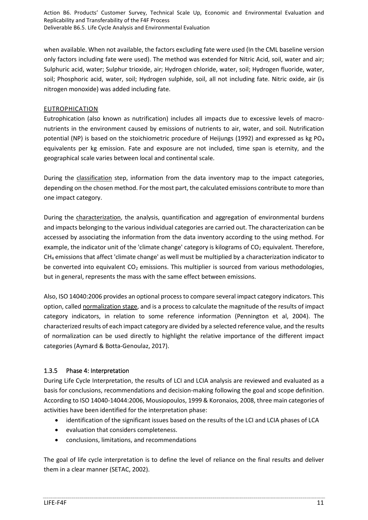when available. When not available, the factors excluding fate were used (In the CML baseline version only factors including fate were used). The method was extended for Nitric Acid, soil, water and air; Sulphuric acid, water; Sulphur trioxide, air; Hydrogen chloride, water, soil; Hydrogen fluoride, water, soil; Phosphoric acid, water, soil; Hydrogen sulphide, soil, all not including fate. Nitric oxide, air (is nitrogen monoxide) was added including fate.

#### EUTROPHICATION

Eutrophication (also known as nutrification) includes all impacts due to excessive levels of macronutrients in the environment caused by emissions of nutrients to air, water, and soil. Nutrification potential (NP) is based on the stoichiometric procedure of Heijungs (1992) and expressed as kg PO<sup>4</sup> equivalents per kg emission. Fate and exposure are not included, time span is eternity, and the geographical scale varies between local and continental scale.

During the classification step, information from the data inventory map to the impact categories, depending on the chosen method. For the most part, the calculated emissions contribute to more than one impact category.

During the characterization, the analysis, quantification and aggregation of environmental burdens and impacts belonging to the various individual categories are carried out. The characterization can be accessed by associating the information from the data inventory according to the using method. For example, the indicator unit of the 'climate change' category is kilograms of CO<sub>2</sub> equivalent. Therefore, CH<sup>4</sup> emissions that affect 'climate change' as well must be multiplied by a characterization indicator to be converted into equivalent  $CO<sub>2</sub>$  emissions. This multiplier is sourced from various methodologies, but in general, represents the mass with the same effect between emissions.

Also, ISO 14040:2006 provides an optional process to compare several impact category indicators. This option, called normalization stage, and is a process to calculate the magnitude of the results of impact category indicators, in relation to some reference information (Pennington et al, 2004). The characterized results of each impact category are divided by a selected reference value, and the results of normalization can be used directly to highlight the relative importance of the different impact categories (Aymard & Botta-Genoulaz, 2017).

# 1.3.5 Phase 4: Interpretation

During Life Cycle Interpretation, the results of LCI and LCIA analysis are reviewed and evaluated as a basis for conclusions, recommendations and decision-making following the goal and scope definition. According to ISO 14040-14044:2006, Mousiopoulos, 1999 & Koronaios, 2008, three main categories of activities have been identified for the interpretation phase:

- identification of the significant issues based on the results of the LCI and LCIA phases of LCA
- evaluation that considers completeness.
- conclusions, limitations, and recommendations

The goal of life cycle interpretation is to define the level of reliance on the final results and deliver them in a clear manner (SETAC, 2002).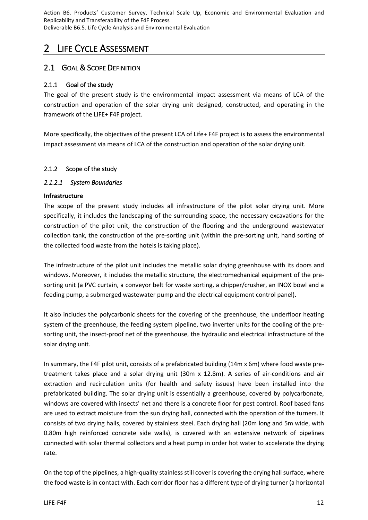# 2 LIFE CYCLE ASSESSMENT

# 2.1 GOAL & SCOPE DEFINITION

# 2.1.1 Goal of the study

The goal of the present study is the environmental impact assessment via means of LCA of the construction and operation of the solar drying unit designed, constructed, and operating in the framework of the LIFE+ F4F project.

More specifically, the objectives of the present LCA of Life+ F4F project is to assess the environmental impact assessment via means of LCA of the construction and operation of the solar drying unit.

# 2.1.2 Scope of the study

# *2.1.2.1 System Boundaries*

# **Infrastructure**

The scope of the present study includes all infrastructure of the pilot solar drying unit. More specifically, it includes the landscaping of the surrounding space, the necessary excavations for the construction of the pilot unit, the construction of the flooring and the underground wastewater collection tank, the construction of the pre-sorting unit (within the pre-sorting unit, hand sorting of the collected food waste from the hotels is taking place).

The infrastructure of the pilot unit includes the metallic solar drying greenhouse with its doors and windows. Moreover, it includes the metallic structure, the electromechanical equipment of the presorting unit (a PVC curtain, a conveyor belt for waste sorting, a chipper/crusher, an INOX bowl and a feeding pump, a submerged wastewater pump and the electrical equipment control panel).

It also includes the polycarbonic sheets for the covering of the greenhouse, the underfloor heating system of the greenhouse, the feeding system pipeline, two inverter units for the cooling of the presorting unit, the insect-proof net of the greenhouse, the hydraulic and electrical infrastructure of the solar drying unit.

In summary, the F4F pilot unit, consists of a prefabricated building (14m x 6m) where food waste pretreatment takes place and a solar drying unit (30m x 12.8m). A series of air-conditions and air extraction and recirculation units (for health and safety issues) have been installed into the prefabricated building. The solar drying unit is essentially a greenhouse, covered by polycarbonate, windows are covered with insects' net and there is a concrete floor for pest control. Roof based fans are used to extract moisture from the sun drying hall, connected with the operation of the turners. It consists of two drying halls, covered by stainless steel. Each drying hall (20m long and 5m wide, with 0.80m high reinforced concrete side walls), is covered with an extensive network of pipelines connected with solar thermal collectors and a heat pump in order hot water to accelerate the drying rate.

On the top of the pipelines, a high-quality stainless still cover is covering the drying hall surface, where the food waste is in contact with. Each corridor floor has a different type of drying turner (a horizontal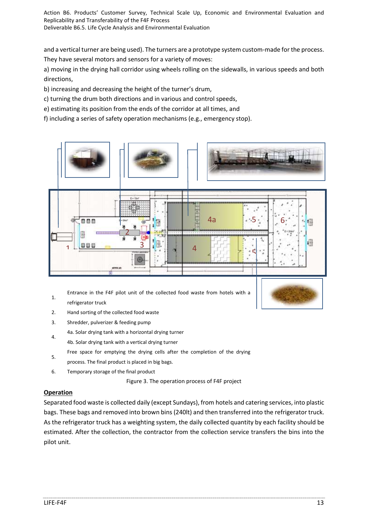and a vertical turner are being used). The turners are a prototype system custom-made for the process. They have several motors and sensors for a variety of moves:

a) moving in the drying hall corridor using wheels rolling on the sidewalls, in various speeds and both directions,

b) increasing and decreasing the height of the turner's drum,

c) turning the drum both directions and in various and control speeds,

e) estimating its position from the ends of the corridor at all times, and

f) including a series of safety operation mechanisms (e.g., emergency stop).



1. Entrance in the F4F pilot unit of the collected food waste from hotels with a refrigerator truck

- 2. Hand sorting of the collected food waste
- 3. Shredder, pulverizer & feeding pump
- 4. 4a. Solar drying tank with a horizontal drying turner
- 4b. Solar drying tank with a vertical drying turner
- Free space for emptying the drying cells after the completion of the drying
- 5. process. The final product is placed in big bags.
- <span id="page-12-0"></span>6. Temporary storage of the final product

Figure 3. The operation process of F4F project

#### **Operation**

Separated food waste is collected daily (except Sundays), from hotels and catering services, into plastic bags. These bags and removed into brown bins (240lt) and then transferred into the refrigerator truck. As the refrigerator truck has a weighting system, the daily collected quantity by each facility should be estimated. After the collection, the contractor from the collection service transfers the bins into the pilot unit.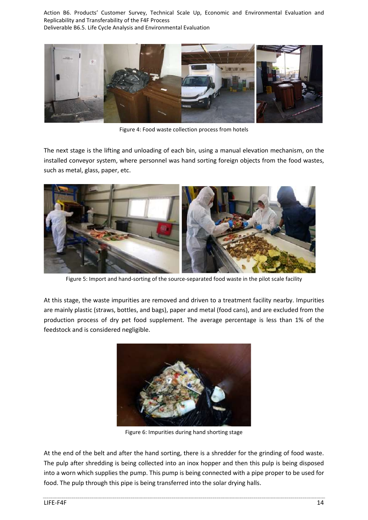Deliverable B6.5. Life Cycle Analysis and Environmental Evaluation



Figure 4: Food waste collection process from hotels

<span id="page-13-0"></span>The next stage is the lifting and unloading of each bin, using a manual elevation mechanism, on the installed conveyor system, where personnel was hand sorting foreign objects from the food wastes, such as metal, glass, paper, etc.



Figure 5: Import and hand-sorting of the source-separated food waste in the pilot scale facility

<span id="page-13-1"></span>At this stage, the waste impurities are removed and driven to a treatment facility nearby. Impurities are mainly plastic (straws, bottles, and bags), paper and metal (food cans), and are excluded from the production process of dry pet food supplement. The average percentage is less than 1% of the feedstock and is considered negligible.



Figure 6: Impurities during hand shorting stage

<span id="page-13-2"></span>At the end of the belt and after the hand sorting, there is a shredder for the grinding of food waste. The pulp after shredding is being collected into an inox hopper and then this pulp is being disposed into a worn which supplies the pump. This pump is being connected with a pipe proper to be used for food. The pulp through this pipe is being transferred into the solar drying halls.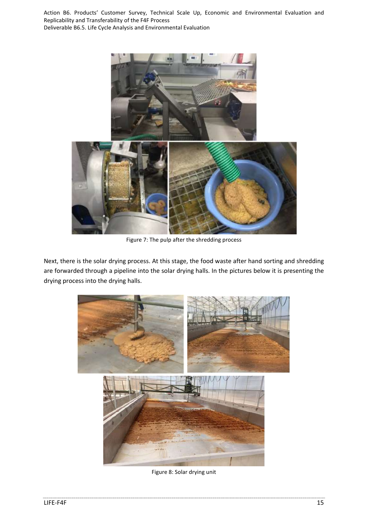Deliverable B6.5. Life Cycle Analysis and Environmental Evaluation



Figure 7: The pulp after the shredding process

<span id="page-14-0"></span>Next, there is the solar drying process. At this stage, the food waste after hand sorting and shredding are forwarded through a pipeline into the solar drying halls. In the pictures below it is presenting the drying process into the drying halls.

<span id="page-14-1"></span>

Figure 8: Solar drying unit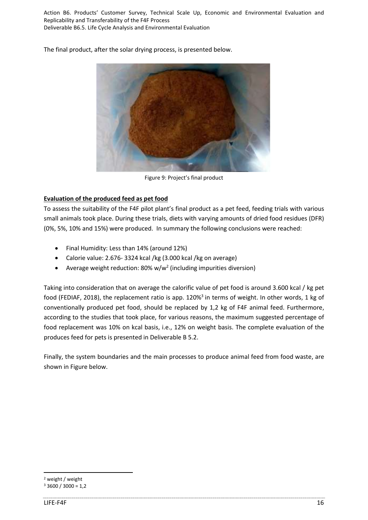The final product, after the solar drying process, is presented below.



Figure 9: Project's final product

#### <span id="page-15-0"></span>**Evaluation of the produced feed as pet food**

To assess the suitability of the F4F pilot plant's final product as a pet feed, feeding trials with various small animals took place. During these trials, diets with varying amounts of dried food residues (DFR) (0%, 5%, 10% and 15%) were produced. In summary the following conclusions were reached:

- Final Humidity: Less than 14% (around 12%)
- Calorie value: 2.676- 3324 kcal /kg (3.000 kcal /kg on average)
- Average weight reduction: 80% w/w<sup>2</sup> (including impurities diversion)

Taking into consideration that on average the calorific value of pet food is around 3.600 kcal / kg pet food (FEDIAF, 2018), the replacement ratio is app. 120%<sup>3</sup> in terms of weight. In other words, 1 kg of conventionally produced pet food, should be replaced by 1,2 kg of F4F animal feed. Furthermore, according to the studies that took place, for various reasons, the maximum suggested percentage of food replacement was 10% on kcal basis, i.e., 12% on weight basis. The complete evaluation of the produces feed for pets is presented in Deliverable B 5.2.

Finally, the system boundaries and the main processes to produce animal feed from food waste, are shown in Figure below.

<sup>2</sup> weight / weight

 $33600 / 3000 = 1,2$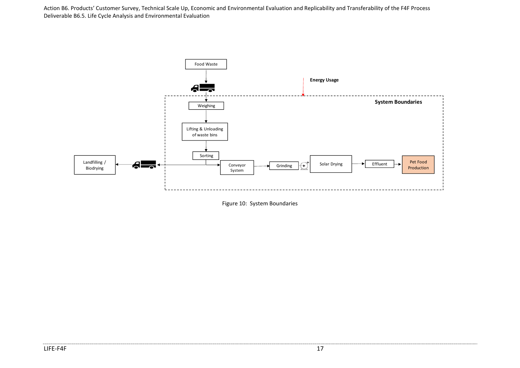

<span id="page-16-0"></span>Figure 10: System Boundaries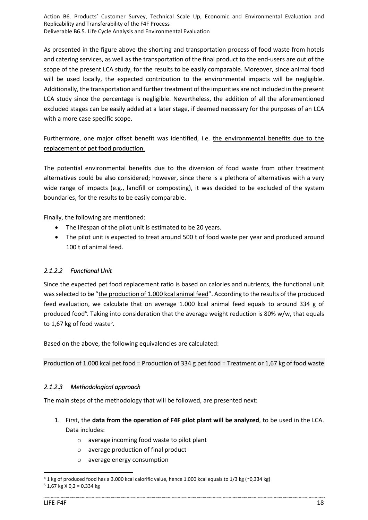As presented in the figure above the shorting and transportation process of food waste from hotels and catering services, as well as the transportation of the final product to the end-users are out of the scope of the present LCA study, for the results to be easily comparable. Moreover, since animal food will be used locally, the expected contribution to the environmental impacts will be negligible. Additionally, the transportation and further treatment of the impurities are not included in the present LCA study since the percentage is negligible. Nevertheless, the addition of all the aforementioned excluded stages can be easily added at a later stage, if deemed necessary for the purposes of an LCA with a more case specific scope.

Furthermore, one major offset benefit was identified, i.e. the environmental benefits due to the replacement of pet food production.

The potential environmental benefits due to the diversion of food waste from other treatment alternatives could be also considered; however, since there is a plethora of alternatives with a very wide range of impacts (e.g., landfill or composting), it was decided to be excluded of the system boundaries, for the results to be easily comparable.

Finally, the following are mentioned:

- The lifespan of the pilot unit is estimated to be 20 years.
- The pilot unit is expected to treat around 500 t of food waste per year and produced around 100 t of animal feed.

# *2.1.2.2 Functional Unit*

Since the expected pet food replacement ratio is based on calories and nutrients, the functional unit was selected to be "the production of 1.000 kcal animal feed". According to the results of the produced feed evaluation, we calculate that on average 1.000 kcal animal feed equals to around 334 g of produced food<sup>4</sup>. Taking into consideration that the average weight reduction is 80% w/w, that equals to 1,67 kg of food waste<sup>5</sup>.

Based on the above, the following equivalencies are calculated:

Production of 1.000 kcal pet food = Production of 334 g pet food = Treatment or 1,67 kg of food waste

# *2.1.2.3 Methodological approach*

The main steps of the methodology that will be followed, are presented next:

- 1. First, the **data from the operation of F4F pilot plant will be analyzed**, to be used in the LCA. Data includes:
	- o average incoming food waste to pilot plant
	- o average production of final product
	- o average energy consumption

<sup>4</sup> 1 kg of produced food has a 3.000 kcal calorific value, hence 1.000 kcal equals to 1/3 kg (~0,334 kg) <sup>5</sup> 1,67 kg X 0,2 = 0,334 kg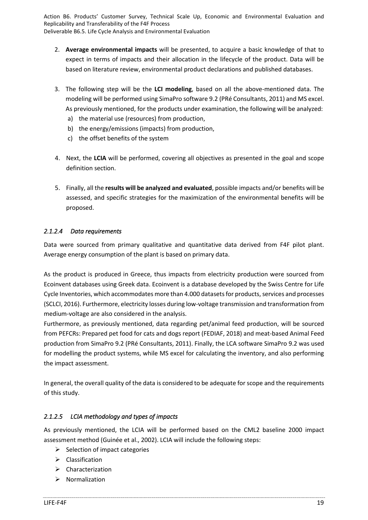- 2. **Average environmental impacts** will be presented, to acquire a basic knowledge of that to expect in terms of impacts and their allocation in the lifecycle of the product. Data will be based on literature review, environmental product declarations and published databases.
- 3. The following step will be the **LCI modeling**, based on all the above-mentioned data. The modeling will be performed using SimaPro software 9.2 (PRé Consultants, 2011) and MS excel. As previously mentioned, for the products under examination, the following will be analyzed:
	- a) the material use (resources) from production,
	- b) the energy/emissions (impacts) from production,
	- c) the offset benefits of the system
- 4. Next, the **LCIA** will be performed, covering all objectives as presented in the goal and scope definition section.
- 5. Finally, all the **results will be analyzed and evaluated**, possible impacts and/or benefits will be assessed, and specific strategies for the maximization of the environmental benefits will be proposed.

# *2.1.2.4 Data requirements*

Data were sourced from primary qualitative and quantitative data derived from F4F pilot plant. Average energy consumption of the plant is based on primary data.

As the product is produced in Greece, thus impacts from electricity production were sourced from Ecoinvent databases using Greek data. Ecoinvent is a database developed by the Swiss Centre for Life Cycle Inventories, which accommodates more than 4.000 datasets for products, services and processes (SCLCI, 2016). Furthermore, electricity losses during low-voltage transmission and transformation from medium-voltage are also considered in the analysis.

Furthermore, as previously mentioned, data regarding pet/animal feed production, will be sourced from PEFCRs: Prepared pet food for cats and dogs report (FEDIAF, 2018) and meat-based Animal Feed production from SimaPro 9.2 (PRé Consultants, 2011). Finally, the LCA software SimaPro 9.2 was used for modelling the product systems, while MS excel for calculating the inventory, and also performing the impact assessment.

In general, the overall quality of the data is considered to be adequate for scope and the requirements of this study.

# *2.1.2.5 LCIA methodology and types of impacts*

As previously mentioned, the LCIA will be performed based on the CML2 baseline 2000 impact assessment method (Guinée et al., 2002). LCIA will include the following steps:

- $\triangleright$  Selection of impact categories
- ➢ Classification
- ➢ Characterization
- ➢ Normalization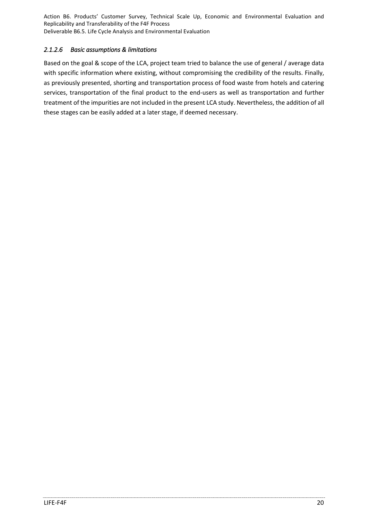### *2.1.2.6 Basic assumptions & limitations*

Based on the goal & scope of the LCA, project team tried to balance the use of general / average data with specific information where existing, without compromising the credibility of the results. Finally, as previously presented, shorting and transportation process of food waste from hotels and catering services, transportation of the final product to the end-users as well as transportation and further treatment of the impurities are not included in the present LCA study. Nevertheless, the addition of all these stages can be easily added at a later stage, if deemed necessary.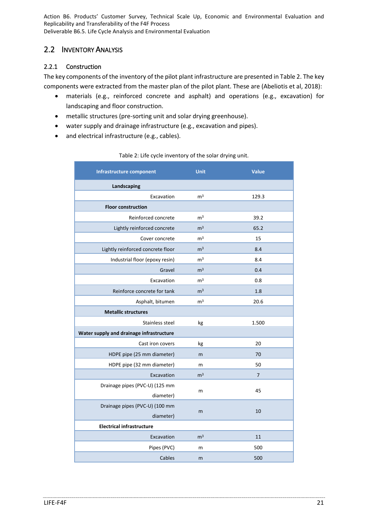# 2.2 INVENTORY ANALYSIS

# 2.2.1 Construction

The key components of the inventory of the pilot plant infrastructure are presented in Table 2. The key components were extracted from the master plan of the pilot plant. These are (Abeliotis et al, 2018):

- materials (e.g., reinforced concrete and asphalt) and operations (e.g., excavation) for landscaping and floor construction.
- metallic structures (pre-sorting unit and solar drying greenhouse).
- water supply and drainage infrastructure (e.g., excavation and pipes).
- <span id="page-20-0"></span>• and electrical infrastructure (e.g., cables).

| <b>Infrastructure component</b>             | <b>Unit</b>    | <b>Value</b>   |
|---------------------------------------------|----------------|----------------|
| Landscaping                                 |                |                |
| Excavation                                  | m <sup>3</sup> | 129.3          |
| <b>Floor construction</b>                   |                |                |
| Reinforced concrete                         | m <sup>3</sup> | 39.2           |
| Lightly reinforced concrete                 | m <sup>3</sup> | 65.2           |
| Cover concrete                              | m <sup>3</sup> | 15             |
| Lightly reinforced concrete floor           | m <sup>3</sup> | 8.4            |
| Industrial floor (epoxy resin)              | m <sup>3</sup> | 8.4            |
| Gravel                                      | m <sup>3</sup> | 0.4            |
| Excavation                                  | m <sup>3</sup> | 0.8            |
| Reinforce concrete for tank                 | m <sup>3</sup> | 1.8            |
| Asphalt, bitumen                            | m <sup>3</sup> | 20.6           |
| <b>Metallic structures</b>                  |                |                |
| Stainless steel                             | kg             | 1.500          |
| Water supply and drainage infrastructure    |                |                |
| Cast iron covers                            | kg             | 20             |
| HDPE pipe (25 mm diameter)                  | m              | 70             |
| HDPE pipe (32 mm diameter)                  | m              | 50             |
| Excavation                                  | m <sup>3</sup> | $\overline{7}$ |
| Drainage pipes (PVC-U) (125 mm              | m              | 45             |
| diameter)                                   |                |                |
| Drainage pipes (PVC-U) (100 mm<br>diameter) | m              | 10             |
| <b>Electrical infrastructure</b>            |                |                |
| Excavation                                  | m <sup>3</sup> | 11             |
| Pipes (PVC)                                 | m              | 500            |
| Cables                                      | m              | 500            |

#### Table 2: Life cycle inventory of the solar drying unit.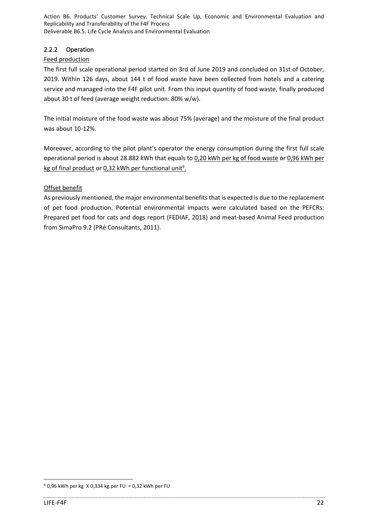#### 2.2.2 Operation

#### Feed production

The first full scale operational period started on 3rd of June 2019 and concluded on 31st of October, 2019. Within 126 days, about 144 t of food waste have been collected from hotels and a catering service and managed into the F4F pilot unit. From this input quantity of food waste, finally produced about 30 t of feed (average weight reduction: 80% w/w).

The initial moisture of the food waste was about 75% (average) and the moisture of the final product was about 10-12%.

Moreover, according to the pilot plant's operator the energy consumption during the first full scale operational period is about 28.882 kWh that equals to 0,20 kWh per kg of food waste or 0,96 kWh per kg of final product or 0,32 kWh per functional unit<sup>6</sup>.

#### Offset benefit

As previously mentioned, the major environmental benefits that is expected is due to the replacement of pet food production. Potential environmental impacts were calculated based on the PEFCRs: Prepared pet food for cats and dogs report (FEDIAF, 2018) and meat-based Animal Feed production from SimaPro 9.2 (PRé Consultants, 2011).

 $60,96$  kWh per kg X 0,334 kg per FU = 0,32 kWh per FU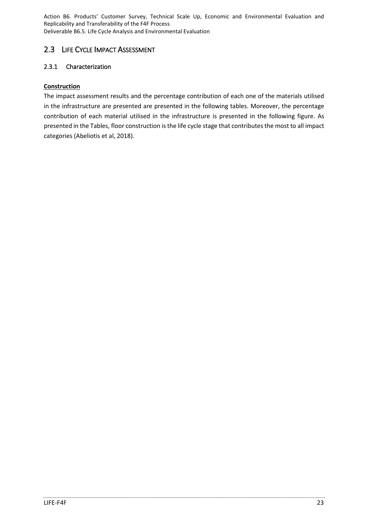# 2.3 LIFE CYCLE IMPACT ASSESSMENT

# 2.3.1 Characterization

#### **Construction**

The impact assessment results and the percentage contribution of each one of the materials utilised in the infrastructure are presented are presented in the following tables. Moreover, the percentage contribution of each material utilised in the infrastructure is presented in the following figure. As presented in the Tables, floor construction is the life cycle stage that contributes the most to all impact categories (Abeliotis et al, 2018).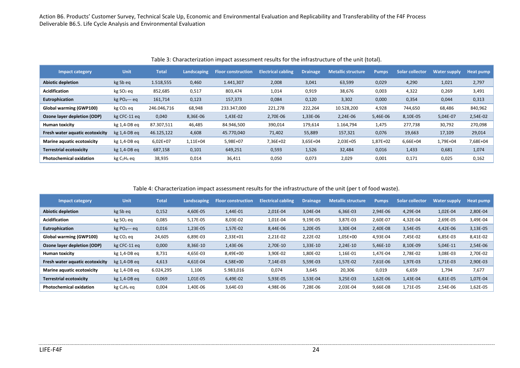| Impact category                 | Unit                        | <b>Total</b> | Landscaping | <b>Floor construction</b> | <b>Electrical cabling</b> | Drainage | Metallic structure | <b>Pumps</b> | <b>Solar collector</b> | <b>Water supply</b> | <b>Heat pump</b> |
|---------------------------------|-----------------------------|--------------|-------------|---------------------------|---------------------------|----------|--------------------|--------------|------------------------|---------------------|------------------|
| <b>Abiotic depletion</b>        | kg Sb eq                    | 1.518,555    | 0,460       | 1.441,307                 | 2,008                     | 3,041    | 63,599             | 0,029        | 4,290                  | 1,021               | 2,797            |
| Acidification                   | kg SO <sub>2</sub> eq       | 852,685      | 0,517       | 803,474                   | 1,014                     | 0,919    | 38,676             | 0,003        | 4,322                  | 0,269               | 3,491            |
| Eutrophication                  | $kg$ PO <sub>4</sub> --- eq | 161,714      | 0,123       | 157,373                   | 0,084                     | 0,120    | 3,302              | 0,000        | 0,354                  | 0,044               | 0,313            |
| Global warming (GWP100)         | $kg CO2$ eg                 | 246.046,716  | 68,948      | 233.347,000               | 221,278                   | 222,264  | 10.528,200         | 4,928        | 744,650                | 68,486              | 840,962          |
| Ozone layer depletion (ODP)     | kg CFC-11 eq                | 0,040        | 8,36E-06    | 1,43E-02                  | 2,70E-06                  | 1,33E-06 | 2,24E-06           | 5,46E-06     | 8,10E-05               | 5,04E-07            | 2,54E-02         |
| Human toxicity                  | kg 1,4-DB eg                | 87.307,511   | 46,485      | 84.946,500                | 390,014                   | 179,614  | 1.164,794          | 1,475        | 277,738                | 30,792              | 270,098          |
| Fresh water aquatic ecotoxicity | $kg1,4-DBeq$                | 46.125,122   | 4,608       | 45.770,040                | 71,402                    | 55,889   | 157,321            | 0,076        | 19,663                 | 17,109              | 29,014           |
| Marine aquatic ecotoxicity      | kg 1,4-DB eg                | $6,02E+07$   | 1,11E+04    | 5,98E+07                  | 7,36E+02                  | 3,65E+04 | 2,03E+05           | 1,87E+02     | 6,66E+04               | 1,79E+04            | 7,68E+04         |
| <b>Terrestrial ecotoxicity</b>  | $kg1,4-DBeq$                | 687,158      | 0,101       | 649,251                   | 0,593                     | 1,526    | 32,484             | 0,016        | 1,433                  | 0,681               | 1,074            |
| <b>Photochemical oxidation</b>  | $kgC2H4$ eq                 | 38,935       | 0,014       | 36,411                    | 0,050                     | 0,073    | 2,029              | 0,001        | 0,171                  | 0,025               | 0,162            |

Table 3: Characterization impact assessment results for the infrastructure of the unit (total).

#### Table 4: Characterization impact assessment results for the infrastructure of the unit (per t of food waste).

<span id="page-23-1"></span><span id="page-23-0"></span>

| Impact category                 | <b>Unit</b>                 | <b>Total</b> | Landscaping | <b>Floor construction</b> | <b>Electrical cabling</b> | Drainage, | <b>Metallic structure</b> | <b>Pumps</b> | Solar collector | <b>Water supply</b> | <b>Heat pump</b> |
|---------------------------------|-----------------------------|--------------|-------------|---------------------------|---------------------------|-----------|---------------------------|--------------|-----------------|---------------------|------------------|
| <b>Abiotic depletion</b>        | kg Sb eq                    | 0,152        | 4,60E-05    | 1,44E-01                  | 2,01E-04                  | 3,04E-04  | 6,36E-03                  | 2,94E-06     | 4,29E-04        | 1,02E-04            | 2,80E-04         |
| <b>Acidification</b>            | kg SO <sub>2</sub> eq       | 0,085        | 5,17E-05    | 8,03E-02                  | 1,01E-04                  | 9,19E-05  | 3,87E-03                  | 2,60E-07     | 4,32E-04        | 2,69E-05            | 3,49E-04         |
| <b>Eutrophication</b>           | $kg$ PO <sub>4</sub> --- eq | 0,016        | 1,23E-05    | 1,57E-02                  | 8,44E-06                  | 1,20E-05  | 3,30E-04                  | 2,40E-08     | 3,54E-05        | 4,42E-06            | 3,13E-05         |
| Global warming (GWP100)         | kg CO <sub>2</sub> eq       | 24,605       | 6,89E-03    | 2,33E+01                  | 2,21E-02                  | 2,22E-02  | 1,05E+00                  | 4,93E-04     | 7,45E-02        | 6,85E-03            | 8,41E-02         |
| Ozone layer depletion (ODP)     | kg CFC-11 eq                | 0,000        | 8,36E-10    | 1,43E-06                  | 2,70E-10                  | 1,33E-10  | 2,24E-10                  | 5,46E-10     | 8,10E-09        | 5,04E-11            | 2,54E-06         |
| Human toxicity                  | $kg1,4-DBeq$                | 8,731        | 4,65E-03    | 8,49E+00                  | 3,90E-02                  | 1,80E-02  | 1,16E-01                  | 1,47E-04     | 2,78E-02        | 3,08E-03            | 2,70E-02         |
| Fresh water aquatic ecotoxicity | $kg1,4-DBeq$                | 4,613        | 4,61E-04    | 4,58E+00                  | 7,14E-03                  | 5,59E-03  | 1,57E-02                  | 7,61E-06     | 1,97E-03        | 1,71E-03            | 2,90E-03         |
| Marine aquatic ecotoxicity      | $kg1,4-DBeq$                | 6.024,295    | 1,106       | 5.983,016                 | 0,074                     | 3,645     | 20,306                    | 0,019        | 6,659           | 1,794               | 7,677            |
| <b>Terrestrial ecotoxicity</b>  | $kg1,4-DBeq$                | 0,069        | 1,01E-05    | 6,49E-02                  | 5,93E-05                  | 1,53E-04  | 3,25E-03                  | 1,62E-06     | 1,43E-04        | 6,81E-05            | 1,07E-04         |
| <b>Photochemical oxidation</b>  | $kgC2H4$ eg                 | 0,004        | 1,40E-06    | 3,64E-03                  | 4,98E-06                  | 7,28E-06  | 2,03E-04                  | 9,66E-08     | 1,71E-05        | 2,54E-06            | 1,62E-05         |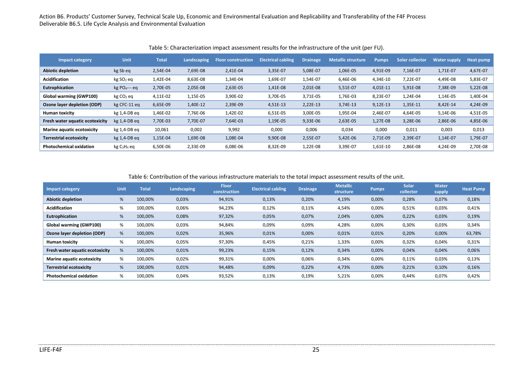| Impact category                 | Unit                        | <b>Total</b> | Landscaping | <b>Floor construction</b> | <b>Electrical cabling</b> | <b>Drainage</b> | <b>Metallic structure</b> | <b>Pumps</b> | Solar collector | <b>Water supply</b> | <b>Heat pump</b> |
|---------------------------------|-----------------------------|--------------|-------------|---------------------------|---------------------------|-----------------|---------------------------|--------------|-----------------|---------------------|------------------|
| <b>Abiotic depletion</b>        | kg Sb eq                    | 2,54E-04     | 7,69E-08    | 2,41E-04                  | 3,35E-07                  | 5,08E-07        | 1,06E-05                  | 4,91E-09     | 7,16E-07        | 1,71E-07            | 4,67E-07         |
| <b>Acidification</b>            | kg SO <sub>2</sub> eq       | 1,42E-04     | 8,63E-08    | 1,34E-04                  | 1,69E-07                  | 1,54E-07        | 6,46E-06                  | 4,34E-10     | 7,22E-07        | 4,49E-08            | 5,83E-07         |
| <b>Eutrophication</b>           | $kg$ PO <sub>4</sub> --- eq | 2,70E-05     | 2,05E-08    | 2,63E-05                  | 1,41E-08                  | 2,01E-08        | 5,51E-07                  | 4,01E-11     | 5,91E-08        | 7,38E-09            | 5,22E-08         |
| Global warming (GWP100)         | kg CO <sub>2</sub> eq       | 4,11E-02     | 1,15E-05    | 3,90E-02                  | 3,70E-05                  | 3,71E-05        | 1,76E-03                  | 8,23E-07     | 1,24E-04        | 1,14E-05            | 1,40E-04         |
| Ozone layer depletion (ODP)     | kg CFC-11 eq                | 6,65E-09     | 1,40E-12    | 2,39E-09                  | 4,51E-13                  | 2,22E-13        | 3,74E-13                  | $9,12E-13$   | 1,35E-11        | 8,42E-14            | 4,24E-09         |
| <b>Human toxicity</b>           | $kg1,4-DBeq$                | 1,46E-02     | 7,76E-06    | 1,42E-02                  | 6,51E-05                  | 3,00E-05        | 1,95E-04                  | 2,46E-07     | 4,64E-05        | 5,14E-06            | 4,51E-05         |
| Fresh water aquatic ecotoxicity | $kg1,4-DBeq$                | 7,70E-03     | 7,70E-07    | 7,64E-03                  | 1,19E-05                  | 9,33E-06        | 2,63E-05                  | 1,27E-08     | 3,28E-06        | 2,86E-06            | 4,85E-06         |
| Marine aquatic ecotoxicity      | $kg1,4-DBeq$                | 10,061       | 0,002       | 9,992                     | 0,000                     | 0,006           | 0,034                     | 0,000        | 0,011           | 0,003               | 0,013            |
| <b>Terrestrial ecotoxicity</b>  | $kg1,4-DBeq$                | 1,15E-04     | 1,69E-08    | 1,08E-04                  | 9,90E-08                  | 2,55E-07        | 5,42E-06                  | 2,71E-09     | 2,39E-07        | 1,14E-07            | 1,79E-07         |
| <b>Photochemical oxidation</b>  | $kgC2H4$ eq                 | 6,50E-06     | 2,33E-09    | 6,08E-06                  | 8,32E-09                  | 1,22E-08        | 3,39E-07                  | 1,61E-10     | 2,86E-08        | 4,24E-09            | 2,70E-08         |

Table 5: Characterization impact assessment results for the infrastructure of the unit (per FU).

Table 6: Contribution of the various infrastructure materials to the total impact assessment results of the unit.

<span id="page-24-1"></span><span id="page-24-0"></span>

| <b>Impact category</b>          | <b>Unit</b> | <b>Total</b> | Landscaping | <b>Floor</b><br>construction | <b>Electrical cabling</b> | <b>Drainage</b> | <b>Metallic</b><br>structure | <b>Pumps</b> | <b>Solar</b><br>collector | <b>Water</b><br>supply | <b>Heat Pump</b> |
|---------------------------------|-------------|--------------|-------------|------------------------------|---------------------------|-----------------|------------------------------|--------------|---------------------------|------------------------|------------------|
| <b>Abiotic depletion</b>        | %           | 100,00%      | 0,03%       | 94,91%                       | 0,13%                     | 0,20%           | 4,19%                        | 0,00%        | 0,28%                     | 0,07%                  | 0,18%            |
| <b>Acidification</b>            | %           | 100,00%      | 0,06%       | 94,23%                       | 0,12%                     | 0,11%           | 4,54%                        | 0,00%        | 0,51%                     | 0,03%                  | 0,41%            |
| <b>Eutrophication</b>           | %           | 100,00%      | 0,08%       | 97,32%                       | 0,05%                     | 0,07%           | 2,04%                        | 0,00%        | 0,22%                     | 0,03%                  | 0,19%            |
| Global warming (GWP100)         | %           | 100,00%      | 0,03%       | 94,84%                       | 0,09%                     | 0,09%           | 4,28%                        | 0,00%        | 0,30%                     | 0,03%                  | 0,34%            |
| Ozone layer depletion (ODP)     | %           | 100,00%      | 0,02%       | 35,96%                       | 0,01%                     | 0,00%           | 0,01%                        | 0,01%        | 0,20%                     | 0,00%                  | 63,78%           |
| <b>Human toxicity</b>           | %           | 100,00%      | 0,05%       | 97,30%                       | 0,45%                     | 0,21%           | 1,33%                        | 0,00%        | 0,32%                     | 0,04%                  | 0,31%            |
| Fresh water aquatic ecotoxicity | %           | 100,00%      | 0,01%       | 99,23%                       | 0,15%                     | 0,12%           | 0,34%                        | 0,00%        | 0,04%                     | 0,04%                  | 0,06%            |
| Marine aquatic ecotoxicity      | %           | 100,00%      | 0,02%       | 99,31%                       | 0,00%                     | 0,06%           | 0,34%                        | 0,00%        | 0,11%                     | 0,03%                  | 0,13%            |
| <b>Terrestrial ecotoxicity</b>  | %           | 100,00%      | 0,01%       | 94,48%                       | 0,09%                     | 0,22%           | 4,73%                        | 0,00%        | 0,21%                     | 0,10%                  | 0,16%            |
| <b>Photochemical oxidation</b>  | %           | 100,00%      | 0,04%       | 93,52%                       | 0,13%                     | 0,19%           | 5,21%                        | 0,00%        | 0,44%                     | 0,07%                  | 0,42%            |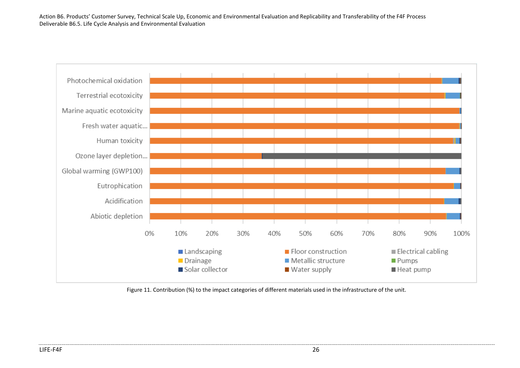

<span id="page-25-0"></span>Figure 11. Contribution (%) to the impact categories of different materials used in the infrastructure of the unit.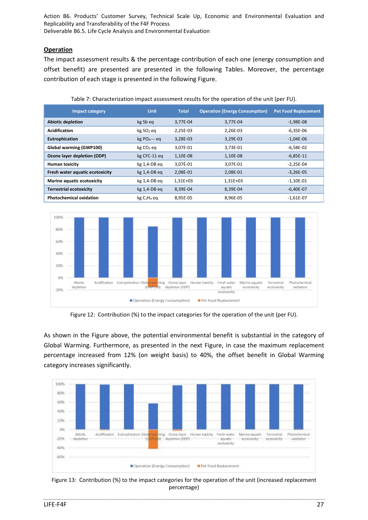#### **Operation**

The impact assessment results & the percentage contribution of each one (energy consumption and offset benefit) are presented are presented in the following Tables. Moreover, the percentage contribution of each stage is presented in the following Figure.

<span id="page-26-0"></span>**Impact category Unit Total Operation (Energy Consumption) Pet Food Replacement Abiotic depletion by equally space of the state of the state of the state of the state of the state of the state of the state of the state of the state of the state of the state of the state of the state of the state of Acidification** kg SO<sup>2</sup> eq 2,25E-03 2,26E-03 -6,35E-06 **Eutrophication** external extending the state of the R<sub>4</sub>--- eq 3,28E-03 3,29E-03 -1,04E-06 **Global warming (GWP100)** kg CO<sub>2</sub> eq 3,07E-01 3,73E-01 3,73E-01 -6,58E-02 **Ozone layer depletion (ODP)** kg CFC-11 eq  $1,10E-08$   $1,10E-08$   $-6,85E-11$ **Human toxicity https://web/2020.pdf/filteral contracts and kg 1,4-DB eq 3,07E-01 3,07E-01 -2,25E-04 -2,25E-04 Fresh water aquatic ecotoxicity** kg 1,4-DB eq 2,08E-01 2,08E-01 2,08E-01 -3,26E-05 **Marine aquatic ecotoxicity** kg 1,4-DB eq 1,31E+03 1,31E+03 -1,10E-01 **Terrestrial ecotoxicity kg 1,4-DB eq 8,39E-04** 8,39E-04 8,39E-04 -6,40E-07 **Photochemical oxidation** kg C<sub>2</sub>H<sub>4</sub> eq 8,95E-05 8,96E-05 -1,61E-07





Figure 12: Contribution (%) to the impact categories for the operation of the unit (per FU).

<span id="page-26-1"></span>As shown in the Figure above, the potential environmental benefit is substantial in the category of Global Warming. Furthermore, as presented in the next Figure, in case the maximum replacement percentage increased from 12% (on weight basis) to 40%, the offset benefit in Global Warming category increases significantly.



<span id="page-26-2"></span>Figure 13: Contribution (%) to the impact categories for the operation of the unit (increased replacement percentage)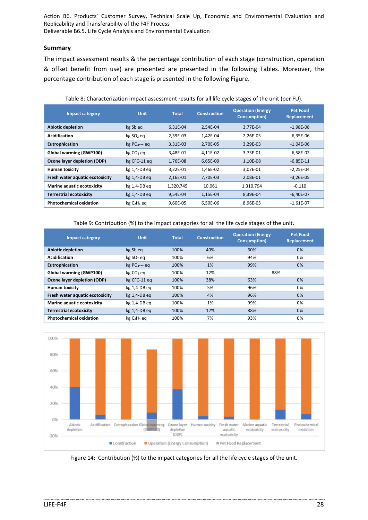#### **Summary**

The impact assessment results & the percentage contribution of each stage (construction, operation & offset benefit from use) are presented are presented in the following Tables. Moreover, the percentage contribution of each stage is presented in the following Figure.

Table 8: Characterization impact assessment results for all life cycle stages of the unit (per FU).

<span id="page-27-0"></span>

| <b>Impact category</b>            | <b>Unit</b>                 | <b>Total</b> | <b>Construction</b> | <b>Operation (Energy</b><br>Consumption) | <b>Pet Food</b><br>Replacement |
|-----------------------------------|-----------------------------|--------------|---------------------|------------------------------------------|--------------------------------|
| <b>Abiotic depletion</b>          | kg Sb eq                    | 6.31E-04     | 2.54E-04            | 3.77E-04                                 | $-1.98E-08$                    |
| <b>Acidification</b>              | kg SO <sub>2</sub> eq       | 2.39E-03     | 1.42E-04            | 2.26E-03                                 | $-6.35E-06$                    |
| Eutrophication                    | $kg$ PO <sub>4</sub> --- eq | 3,31E-03     | 2,70E-05            | 3,29E-03                                 | $-1,04E-06$                    |
| <b>Global warming (GWP100)</b>    | $kg CO2$ eg                 | 3,48E-01     | 4,11E-02            | 3,73E-01                                 | $-6,58E-02$                    |
| Ozone layer depletion (ODP)       | kg CFC-11 eq                | 1,76E-08     | 6,65E-09            | 1.10E-08                                 | $-6.85E-11$                    |
| Human toxicity                    | $kg1,4-DBeq$                | 3,22E-01     | 1,46E-02            | 3.07E-01                                 | $-2,25E-04$                    |
| Fresh water aquatic ecotoxicity   | $kg1,4-DBeq$                | 2,16E-01     | 7,70E-03            | 2,08E-01                                 | $-3,26E-05$                    |
| <b>Marine aquatic ecotoxicity</b> | $kg1,4-DBeq$                | 1.320,745    | 10,061              | 1.310,794                                | $-0,110$                       |
| <b>Terrestrial ecotoxicity</b>    | $kg1,4-DBeq$                | 9,54E-04     | 1,15E-04            | 8,39E-04                                 | $-6,40E-07$                    |
| <b>Photochemical oxidation</b>    | $kgC2H4$ eq                 | 9,60E-05     | 6.50E-06            | 8.96E-05                                 | $-1,61E-07$                    |

Table 9: Contribution (%) to the impact categories for all the life cycle stages of the unit.

<span id="page-27-1"></span>

| <b>Impact category</b>          | <b>Unit</b>                 | <b>Total</b> | <b>Construction</b> | <b>Operation (Energy</b><br><b>Consumption</b> ) | <b>Pet Food</b><br>Replacement |
|---------------------------------|-----------------------------|--------------|---------------------|--------------------------------------------------|--------------------------------|
| <b>Abiotic depletion</b>        | kg Sb eg                    | 100%         | 40%                 | 60%                                              | 0%                             |
| <b>Acidification</b>            | kg SO <sub>2</sub> eq       | 100%         | 6%                  | 94%                                              | 0%                             |
| Eutrophication                  | $kg$ PO <sub>4</sub> --- eq | 100%         | 1%                  | 99%                                              | 0%                             |
| Global warming (GWP100)         | $kg CO2$ eg                 | 100%         | 12%                 | 88%                                              |                                |
| Ozone layer depletion (ODP)     | kg CFC-11 eq                | 100%         | 38%                 | 63%                                              | 0%                             |
| <b>Human toxicity</b>           | kg 1,4-DB eq                | 100%         | 5%                  | 96%                                              | 0%                             |
| Fresh water aquatic ecotoxicity | $kg1,4-DBeq$                | 100%         | 4%                  | 96%                                              | 0%                             |
| Marine aquatic ecotoxicity      | kg 1,4-DB eq                | 100%         | 1%                  | 99%                                              | 0%                             |
| <b>Terrestrial ecotoxicity</b>  | $kg1,4-DBeq$                | 100%         | 12%                 | 88%                                              | 0%                             |
| <b>Photochemical oxidation</b>  | $kgC2H4$ eg                 | 100%         | 7%                  | 93%                                              | 0%                             |



<span id="page-27-2"></span>Figure 14: Contribution (%) to the impact categories for all the life cycle stages of the unit.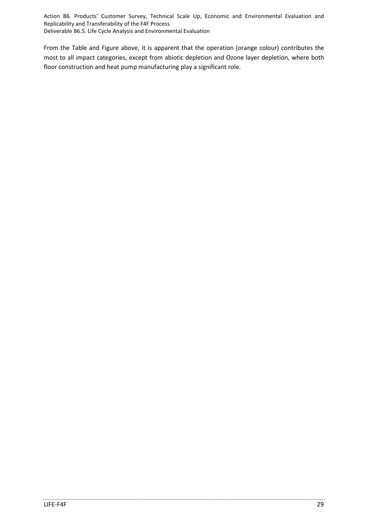From the Table and Figure above, it is apparent that the operation (orange colour) contributes the most to all impact categories, except from abiotic depletion and Ozone layer depletion, where both floor construction and heat pump manufacturing play a significant role.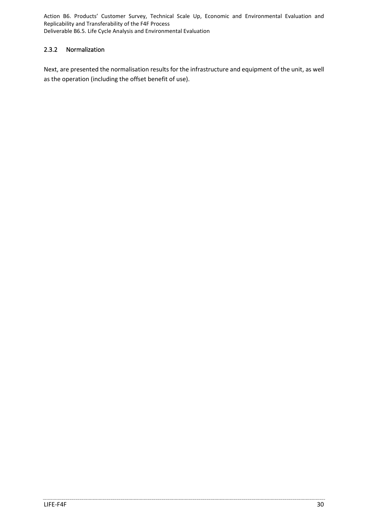# 2.3.2 Normalization

Next, are presented the normalisation results for the infrastructure and equipment of the unit, as well as the operation (including the offset benefit of use).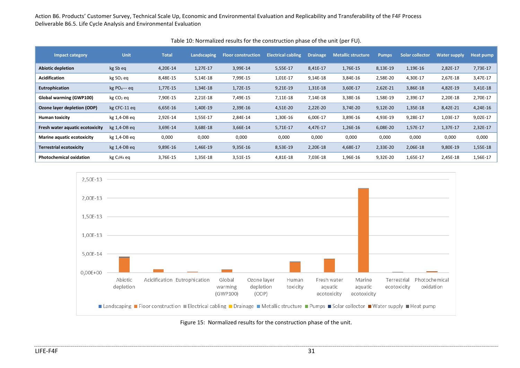| <b>Impact category</b>          | Unit                        | <b>Total</b> | Landscaping | <b>Floor construction</b> | <b>Electrical cabling</b> | <b>Drainage</b> | <b>Metallic structure</b> | <b>Pumps</b> | <b>Solar collector</b> | <b>Water supply</b> | <b>Heat pump</b> |
|---------------------------------|-----------------------------|--------------|-------------|---------------------------|---------------------------|-----------------|---------------------------|--------------|------------------------|---------------------|------------------|
| <b>Abiotic depletion</b>        | kg Sb eq                    | 4,20E-14     | 1,27E-17    | 3,99E-14                  | 5,55E-17                  | 8,41E-17        | 1,76E-15                  | 8,13E-19     | 1,19E-16               | 2,82E-17            | 7,73E-17         |
| <b>Acidification</b>            | kg SO <sub>2</sub> eq       | 8,48E-15     | 5,14E-18    | 7,99E-15                  | 1,01E-17                  | 9,14E-18        | 3,84E-16                  | 2,58E-20     | 4,30E-17               | 2,67E-18            | 3,47E-17         |
| <b>Eutrophication</b>           | $kg$ PO <sub>4</sub> --- eq | 1,77E-15     | 1,34E-18    | 1,72E-15                  | 9,21E-19                  | 1,31E-18        | 3,60E-17                  | 2,62E-21     | 3,86E-18               | 4,82E-19            | 3,41E-18         |
| Global warming (GWP100)         | kg CO <sub>2</sub> eq       | 7,90E-15     | 2,21E-18    | 7,49E-15                  | 7,11E-18                  | 7,14E-18        | 3,38E-16                  | 1,58E-19     | 2,39E-17               | 2,20E-18            | 2,70E-17         |
| Ozone layer depletion (ODP)     | kg CFC-11 eq                | 6,65E-16     | 1,40E-19    | 2,39E-16                  | 4,51E-20                  | 2,22E-20        | 3,74E-20                  | 9,12E-20     | 1,35E-18               | 8,42E-21            | 4,24E-16         |
| Human toxicity                  | kg 1,4-DB eq                | 2,92E-14     | 1,55E-17    | 2,84E-14                  | 1,30E-16                  | 6,00E-17        | 3,89E-16                  | 4,93E-19     | 9,28E-17               | 1,03E-17            | 9,02E-17         |
| Fresh water aquatic ecotoxicity | $kg1,4-DBeq$                | 3,69E-14     | 3,68E-18    | 3,66E-14                  | 5,71E-17                  | 4,47E-17        | 1,26E-16                  | 6,08E-20     | 1,57E-17               | 1,37E-17            | 2,32E-17         |
| Marine aquatic ecotoxicity      | kg 1,4-DB eg                | 0,000        | 0,000       | 0,000                     | 0,000                     | 0,000           | 0,000                     | 0,000        | 0,000                  | 0,000               | 0,000            |
| <b>Terrestrial ecotoxicity</b>  | $kg1,4-DBeq$                | 9,89E-16     | 1,46E-19    | 9,35E-16                  | 8,53E-19                  | 2,20E-18        | 4,68E-17                  | 2,33E-20     | 2,06E-18               | 9,80E-19            | 1,55E-18         |
| <b>Photochemical oxidation</b>  | $kgC2H4$ eq                 | 3,76E-15     | 1,35E-18    | 3,51E-15                  | 4,81E-18                  | 7,03E-18        | 1,96E-16                  | 9,32E-20     | 1,65E-17               | 2,45E-18            | 1,56E-17         |



<span id="page-30-0"></span>

<span id="page-30-1"></span>Figure 15: Normalized results for the construction phase of the unit.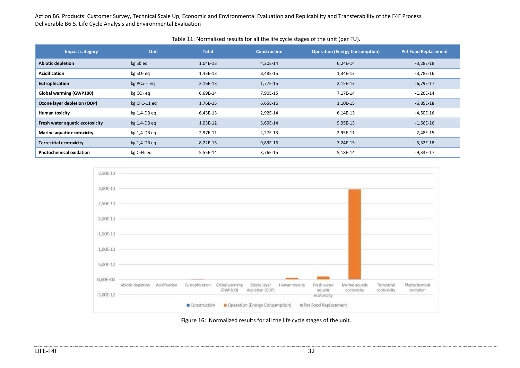#### Table 11: Normalized results for all the life cycle stages of the unit (per FU).

| <b>Impact category</b>          | <b>Unit</b>                 | <b>Total</b> | <b>Construction</b> | <b>Operation (Energy Consumption)</b> | <b>Pet Food Replacement</b> |
|---------------------------------|-----------------------------|--------------|---------------------|---------------------------------------|-----------------------------|
| <b>Abiotic depletion</b>        | kg Sb eq                    | 1,04E-13     | 4,20E-14            | 6,24E-14                              | $-3,28E-18$                 |
| <b>Acidification</b>            | kg SO <sub>2</sub> eq       | 1,43E-13     | 8,48E-15            | 1,34E-13                              | $-3,78E-16$                 |
| <b>Eutrophication</b>           | $kg$ PO <sub>4</sub> --- eq | 2,16E-13     | 1,77E-15            | 2,15E-13                              | $-6,79E-17$                 |
| <b>Global warming (GWP100)</b>  | kg CO <sub>2</sub> eq       | 6,69E-14     | 7,90E-15            | 7,17E-14                              | $-1,26E-14$                 |
| Ozone layer depletion (ODP)     | kg CFC-11 eq                | 1,76E-15     | 6,65E-16            | 1,10E-15                              | $-6,85E-18$                 |
| Human toxicity                  | kg 1,4-DB eq                | 6,43E-13     | 2,92E-14            | 6,14E-13                              | $-4,50E-16$                 |
| Fresh water aquatic ecotoxicity | $kg1,4-DBeq$                | 1,03E-12     | 3,69E-14            | 9,95E-13                              | $-1,56E-16$                 |
| Marine aquatic ecotoxicity      | kg 1,4-DB eq                | 2,97E-11     | 2,27E-13            | 2,95E-11                              | $-2,48E-15$                 |
| <b>Terrestrial ecotoxicity</b>  | $kg1,4-DBeq$                | 8,22E-15     | 9,89E-16            | 7,24E-15                              | $-5,52E-18$                 |
| <b>Photochemical oxidation</b>  | $kgC2H4$ eq                 | 5,55E-14     | 3,76E-15            | 5,18E-14                              | $-9,33E-17$                 |

<span id="page-31-0"></span>

<span id="page-31-1"></span>Figure 16: Normalized results for all the life cycle stages of the unit.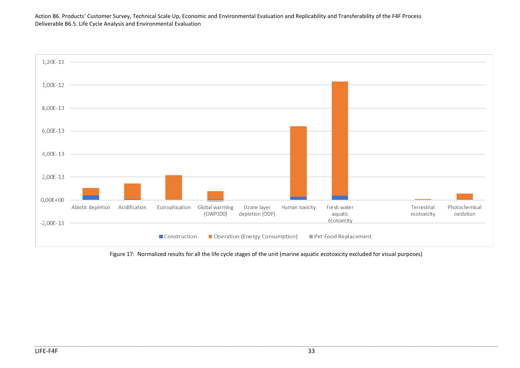

<span id="page-32-0"></span>Figure 17: Normalized results for all the life cycle stages of the unit (marine aquatic ecotoxicity excluded for visual purposes)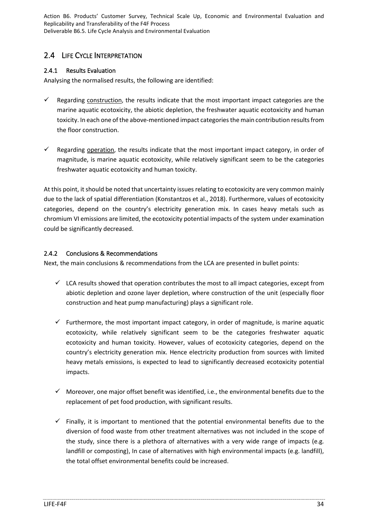# 2.4 LIFE CYCLE INTERPRETATION

# 2.4.1 Results Evaluation

Analysing the normalised results, the following are identified:

- $\checkmark$  Regarding construction, the results indicate that the most important impact categories are the marine aquatic ecotoxicity, the abiotic depletion, the freshwater aquatic ecotoxicity and human toxicity. In each one of the above-mentioned impact categories the main contribution results from the floor construction.
- $\checkmark$  Regarding operation, the results indicate that the most important impact category, in order of magnitude, is marine aquatic ecotoxicity, while relatively significant seem to be the categories freshwater aquatic ecotoxicity and human toxicity.

At this point, it should be noted that uncertainty issues relating to ecotoxicity are very common mainly due to the lack of spatial differentiation (Konstantzos et al., 2018). Furthermore, values of ecotoxicity categories, depend on the country's electricity generation mix. In cases heavy metals such as chromium VI emissions are limited, the ecotoxicity potential impacts of the system under examination could be significantly decreased.

#### 2.4.2 Conclusions & Recommendations

Next, the main conclusions & recommendations from the LCA are presented in bullet points:

- $\checkmark$  LCA results showed that operation contributes the most to all impact categories, except from abiotic depletion and ozone layer depletion, where construction of the unit (especially floor construction and heat pump manufacturing) plays a significant role.
- $\checkmark$  Furthermore, the most important impact category, in order of magnitude, is marine aquatic ecotoxicity, while relatively significant seem to be the categories freshwater aquatic ecotoxicity and human toxicity. However, values of ecotoxicity categories, depend on the country's electricity generation mix. Hence electricity production from sources with limited heavy metals emissions, is expected to lead to significantly decreased ecotoxicity potential impacts.
- $\checkmark$  Moreover, one major offset benefit was identified, i.e., the environmental benefits due to the replacement of pet food production, with significant results.
- $\checkmark$  Finally, it is important to mentioned that the potential environmental benefits due to the diversion of food waste from other treatment alternatives was not included in the scope of the study, since there is a plethora of alternatives with a very wide range of impacts (e.g. landfill or composting), In case of alternatives with high environmental impacts (e.g. landfill), the total offset environmental benefits could be increased.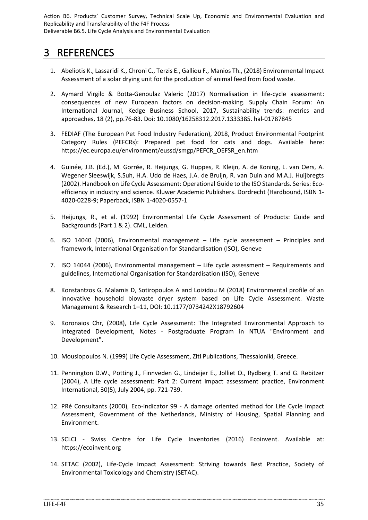# 3 REFERENCES

- 1. Abeliotis K., Lassaridi K., Chroni C., Terzis E., Galliou F., Manios Th., (2018) Environmental Impact Assessment of a solar drying unit for the production of animal feed from food waste.
- 2. Aymard Virgilc & Botta-Genoulaz Valeric (2017) Normalisation in life-cycle assessment: consequences of new European factors on decision-making. Supply Chain Forum: An International Journal, Kedge Business School, 2017, Sustainability trends: metrics and approaches, 18 (2), pp.76-83. Doi: 10.1080/16258312.2017.1333385. hal-01787845
- 3. FEDIAF (The European Pet Food Industry Federation), 2018, Product Environmental Footprint Category Rules (PEFCRs): Prepared pet food for cats and dogs. Available here: https://ec.europa.eu/environment/eussd/smgp/PEFCR\_OEFSR\_en.htm
- 4. Guinée, J.B. (Ed.), M. Gorrée, R. Heijungs, G. Huppes, R. Kleijn, A. de Koning, L. van Oers, A. Wegener Sleeswijk, S.Suh, H.A. Udo de Haes, J.A. de Bruijn, R. van Duin and M.A.J. Huijbregts (2002). Handbook on Life Cycle Assessment: Operational Guide to the ISO Standards. Series: Ecoefficiency in industry and science. Kluwer Academic Publishers. Dordrecht (Hardbound, ISBN 1- 4020-0228-9; Paperback, ISBN 1-4020-0557-1
- 5. Heijungs, R., et al. (1992) Environmental Life Cycle Assessment of Products: Guide and Backgrounds (Part 1 & 2). CML, Leiden.
- 6. ISO 14040 (2006), Environmental management Life cycle assessment Principles and framework, International Organisation for Standardisation (ISO), Geneve
- 7. ISO 14044 (2006), Environmental management Life cycle assessment Requirements and guidelines, International Organisation for Standardisation (ISO), Geneve
- 8. Konstantzos G, Malamis D, Sotiropoulos A and Loizidou M (2018) Environmental profile of an innovative household biowaste dryer system based on Life Cycle Assessment. Waste Management & Research 1–11, DOI: 10.1177/0734242X18792604
- 9. Koronaios Chr, (2008), Life Cycle Assessment: The Integrated Environmental Approach to Integrated Development, Notes - Postgraduate Program in NTUA "Environment and Development".
- 10. Mousiopoulos N. (1999) Life Cycle Assessment, Ziti Publications, Thessaloniki, Greece.
- 11. Pennington D.W., Potting J., Finnveden G., Lindeijer E., Jolliet O., Rydberg T. and G. Rebitzer (2004), A Life cycle assessment: Part 2: Current impact assessment practice, Environment International, 30(5), July 2004, pp. 721-739.
- 12. PRé Consultants (2000), Eco-indicator 99 A damage oriented method for Life Cycle Impact Assessment, Government of the Netherlands, Ministry of Housing, Spatial Planning and Environment.
- 13. SCLCI Swiss Centre for Life Cycle Inventories (2016) Ecoinvent. Available at: https://ecoinvent.org
- 14. SETAC (2002), Life-Cycle Impact Assessment: Striving towards Best Practice, Society of Environmental Toxicology and Chemistry (SETAC).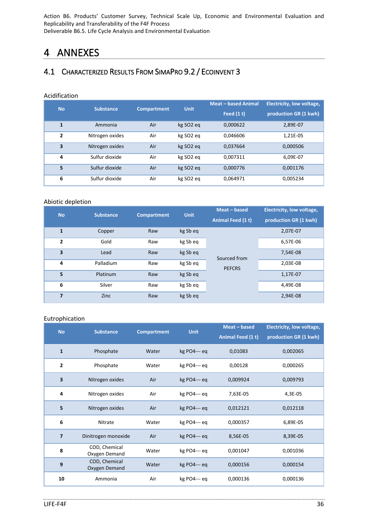# 4 ANNEXES

# 4.1 CHARACTERIZED RESULTS FROM SIMAPRO 9.2 / ECOINVENT 3

#### Acidification

| <b>No</b>               | <b>Substance</b> | <b>Compartment</b> | Unit                  | <b>Meat - based Animal</b><br>Feed $(1 t)$ | Electricity, low voltage,<br>production GR (1 kwh) |
|-------------------------|------------------|--------------------|-----------------------|--------------------------------------------|----------------------------------------------------|
|                         |                  |                    |                       |                                            |                                                    |
| 1                       | Ammonia          | Air                | kg SO <sub>2</sub> eq | 0,000622                                   | 2,89E-07                                           |
| $\mathbf{2}$            | Nitrogen oxides  | Air                | kg SO <sub>2</sub> eq | 0.046606                                   | 1.21E-05                                           |
| $\overline{\mathbf{3}}$ | Nitrogen oxides  | Air                | kg SO <sub>2</sub> eq | 0.037664                                   | 0,000506                                           |
| 4                       | Sulfur dioxide   | Air                | kg SO <sub>2</sub> eq | 0.007311                                   | 6,09E-07                                           |
| 5                       | Sulfur dioxide   | Air                | kg SO <sub>2</sub> eq | 0.000776                                   | 0,001176                                           |
| 6                       | Sulfur dioxide   | Air                | kg SO <sub>2</sub> eq | 0,064971                                   | 0,005234                                           |

#### Abiotic depletion

| <b>No</b>    | <b>Substance</b> | <b>Compartment</b> | <b>Unit</b> | Meat - based      | Electricity, low voltage, |
|--------------|------------------|--------------------|-------------|-------------------|---------------------------|
|              |                  |                    |             | Animal Feed (1 t) | production GR (1 kwh)     |
| $\mathbf{1}$ | Copper           | Raw                | kg Sb eq    |                   | 2,07E-07                  |
| $\mathbf{2}$ | Gold             | Raw                | kg Sb eq    |                   | 6,57E-06                  |
| 3            | Lead             | Raw                | kg Sb eq    | Sourced from      | 7,54E-08                  |
| 4            | Palladium        | Raw                | kg Sb eq    | <b>PEFCRS</b>     | 2,03E-08                  |
| 5            | Platinum         | Raw                | kg Sb eq    |                   | 1,17E-07                  |
| 6            | Silver           | Raw                | kg Sb eg    |                   | 4.49E-08                  |
| 7            | Zinc             | Raw                | kg Sb eq    |                   | 2,94E-08                  |

#### Eutrophication

| <b>No</b>      | <b>Substance</b>               | <b>Compartment</b> | <b>Unit</b>  | Meat - based     | <b>Electricity, low voltage,</b> |
|----------------|--------------------------------|--------------------|--------------|------------------|----------------------------------|
|                |                                |                    |              | Animal Feed (1t) | production GR (1 kwh)            |
| $\mathbf{1}$   | Phosphate                      | Water              | kg PO4--- eq | 0,01083          | 0,002065                         |
| $\overline{2}$ | Phosphate                      | Water              | kg PO4--- eq | 0,00128          | 0,000265                         |
| 3              | Nitrogen oxides                | Air                | kg PO4--- eq | 0,009924         | 0,009793                         |
| 4              | Nitrogen oxides                | Air                | kg PO4--- eq | 7,63E-05         | 4,3E-05                          |
| 5              | Nitrogen oxides                | Air                | kg PO4--- eq | 0,012121         | 0,012118                         |
| 6              | Nitrate                        | Water              | kg PO4--- eq | 0,000357         | 6,89E-05                         |
| 7              | Dinitrogen monoxide            | Air                | kg PO4--- eq | 8,56E-05         | 8,39E-05                         |
| 8              | COD, Chemical<br>Oxygen Demand | Water              | kg PO4--- eq | 0,001047         | 0,001036                         |
| 9              | COD, Chemical<br>Oxygen Demand | Water              | kg PO4--- eq | 0,000156         | 0,000154                         |
| 10             | Ammonia                        | Air                | kg PO4--- eq | 0,000136         | 0,000136                         |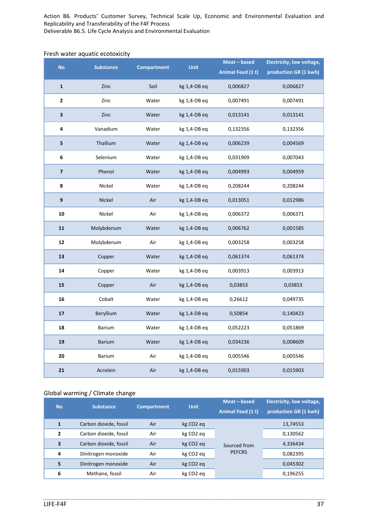Deliverable B6.5. Life Cycle Analysis and Environmental Evaluation

#### Fresh water aquatic ecotoxicity

| <b>No</b>               | <b>Substance</b> | <b>Compartment</b> | Unit         | Meat - based<br>Animal Feed (1 t) | Electricity, low voltage,<br>production GR (1 kwh) |
|-------------------------|------------------|--------------------|--------------|-----------------------------------|----------------------------------------------------|
| $\mathbf{1}$            | Zinc             | Soil               | kg 1,4-DB eq | 0,006827                          | 0,006827                                           |
| $\mathbf{2}$            | Zinc             | Water              | kg 1,4-DB eq | 0,007491                          | 0,007491                                           |
| 3                       | Zinc             | Water              | kg 1,4-DB eq | 0,013141                          | 0,013141                                           |
| 4                       | Vanadium         | Water              | kg 1,4-DB eq | 0,132356                          | 0,132356                                           |
| 5                       | Thallium         | Water              | kg 1,4-DB eq | 0,006239                          | 0,004569                                           |
| 6                       | Selenium         | Water              | kg 1,4-DB eq | 0,031909                          | 0,007043                                           |
| $\overline{\mathbf{z}}$ | Phenol           | Water              | kg 1,4-DB eq | 0,004993                          | 0,004959                                           |
| 8                       | Nickel           | Water              | kg 1,4-DB eq | 0,208244                          | 0,208244                                           |
| 9                       | Nickel           | Air                | kg 1,4-DB eq | 0,013051                          | 0,012986                                           |
| 10                      | Nickel           | Air                | $kg1,4-DBeq$ | 0,006372                          | 0,006371                                           |
| 11                      | Molybdenum       | Water              | kg 1,4-DB eq | 0,006762                          | 0,001585                                           |
| 12                      | Molybdenum       | Air                | kg 1,4-DB eq | 0,003258                          | 0,003258                                           |
| 13                      | Copper           | Water              | kg 1,4-DB eq | 0,061374                          | 0,061374                                           |
| 14                      | Copper           | Water              | kg 1,4-DB eq | 0,003913                          | 0,003913                                           |
| 15                      | Copper           | Air                | kg 1,4-DB eq | 0,03853                           | 0,03853                                            |
| 16                      | Cobalt           | Water              | kg 1,4-DB eq | 0,26612                           | 0,049735                                           |
| 17                      | Beryllium        | Water              | kg 1,4-DB eq | 0,50854                           | 0,140423                                           |
| 18                      | <b>Barium</b>    | Water              | kg 1,4-DB eq | 0,052223                          | 0,051869                                           |
| 19                      | <b>Barium</b>    | Water              | kg 1,4-DB eq | 0,034236                          | 0,008609                                           |
| 20                      | <b>Barium</b>    | Air                | kg 1,4-DB eq | 0,005546                          | 0,005546                                           |
| 21                      | Acrolein         | Air                | kg 1,4-DB eq | 0,015903                          | 0,015903                                           |

# Global warming / Climate change

| <b>No</b>      | <b>Substance</b>       | <b>Compartment</b> | <b>Unit</b>           | Meat - based<br>Animal Feed (1 t) | Electricity, low voltage,<br>production GR (1 kwh) |
|----------------|------------------------|--------------------|-----------------------|-----------------------------------|----------------------------------------------------|
| 1              | Carbon dioxide, fossil | Air                | kg CO <sub>2</sub> eq |                                   | 13,74553                                           |
| $\overline{2}$ | Carbon dioxide, fossil | Air                | kg CO <sub>2</sub> eq |                                   | 0,130562                                           |
| 3              | Carbon dioxide, fossil | Air                | kg CO <sub>2</sub> eq | Sourced from                      | 4,336434                                           |
| 4              | Dinitrogen monoxide    | Air                | kg CO <sub>2</sub> eq | <b>PEFCRS</b>                     | 0,082395                                           |
| 5              | Dinitrogen monoxide    | Air                | kg CO <sub>2</sub> eq |                                   | 0,045302                                           |
| 6              | Methane, fossil        | Air                | kg CO <sub>2</sub> eq |                                   | 0,196255                                           |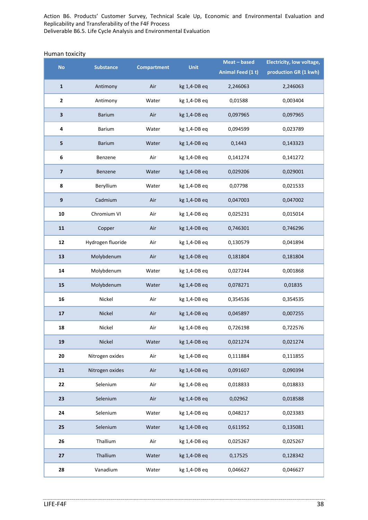Deliverable B6.5. Life Cycle Analysis and Environmental Evaluation

#### Human toxicity

| No                      | <b>Substance</b>  | <b>Compartment</b> | Unit         | Meat - based<br>Animal Feed (1 t) | <b>Electricity, low voltage,</b><br>production GR (1 kwh) |
|-------------------------|-------------------|--------------------|--------------|-----------------------------------|-----------------------------------------------------------|
| $\mathbf{1}$            | Antimony          | Air                | kg 1,4-DB eq | 2,246063                          | 2,246063                                                  |
| $\overline{2}$          | Antimony          | Water              | kg 1,4-DB eq | 0,01588                           | 0,003404                                                  |
| $\mathsf 3$             | <b>Barium</b>     | Air                | kg 1,4-DB eq | 0,097965                          | 0,097965                                                  |
| 4                       | <b>Barium</b>     | Water              | kg 1,4-DB eq | 0,094599                          | 0,023789                                                  |
| 5                       | <b>Barium</b>     | Water              | kg 1,4-DB eq | 0,1443                            | 0,143323                                                  |
| 6                       | Benzene           | Air                | kg 1,4-DB eq | 0,141274                          | 0,141272                                                  |
| $\overline{\mathbf{z}}$ | Benzene           | Water              | kg 1,4-DB eq | 0,029206                          | 0,029001                                                  |
| 8                       | Beryllium         | Water              | kg 1,4-DB eq | 0,07798                           | 0,021533                                                  |
| $\boldsymbol{9}$        | Cadmium           | Air                | kg 1,4-DB eq | 0,047003                          | 0,047002                                                  |
| 10                      | Chromium VI       | Air                | kg 1,4-DB eq | 0,025231                          | 0,015014                                                  |
| 11                      | Copper            | Air                | kg 1,4-DB eq | 0,746301                          | 0,746296                                                  |
| 12                      | Hydrogen fluoride | Air                | kg 1,4-DB eq | 0,130579                          | 0,041894                                                  |
| 13                      | Molybdenum        | Air                | kg 1,4-DB eq | 0,181804                          | 0,181804                                                  |
| 14                      | Molybdenum        | Water              | kg 1,4-DB eq | 0,027244                          | 0,001868                                                  |
| 15                      | Molybdenum        | Water              | kg 1,4-DB eq | 0,078271                          | 0,01835                                                   |
| 16                      | Nickel            | Air                | kg 1,4-DB eq | 0,354536                          | 0,354535                                                  |
| 17                      | Nickel            | Air                | kg 1,4-DB eq | 0,045897                          | 0,007255                                                  |
| 18                      | Nickel            | Air                | kg 1,4-DB eq | 0,726198                          | 0,722576                                                  |
| 19                      | Nickel            | Water              | kg 1,4-DB eq | 0,021274                          | 0,021274                                                  |
| 20                      | Nitrogen oxides   | Air                | kg 1,4-DB eq | 0,111884                          | 0,111855                                                  |
| 21                      | Nitrogen oxides   | Air                | kg 1,4-DB eq | 0,091607                          | 0,090394                                                  |
| 22                      | Selenium          | Air                | kg 1,4-DB eq | 0,018833                          | 0,018833                                                  |
| 23                      | Selenium          | Air                | kg 1,4-DB eq | 0,02962                           | 0,018588                                                  |
| 24                      | Selenium          | Water              | kg 1,4-DB eq | 0,048217                          | 0,023383                                                  |
| 25                      | Selenium          | Water              | kg 1,4-DB eq | 0,611952                          | 0,135081                                                  |
| 26                      | Thallium          | Air                | kg 1,4-DB eq | 0,025267                          | 0,025267                                                  |
| 27                      | Thallium          | Water              | kg 1,4-DB eq | 0,17525                           | 0,128342                                                  |
| 28                      | Vanadium          | Water              | kg 1,4-DB eq | 0,046627                          | 0,046627                                                  |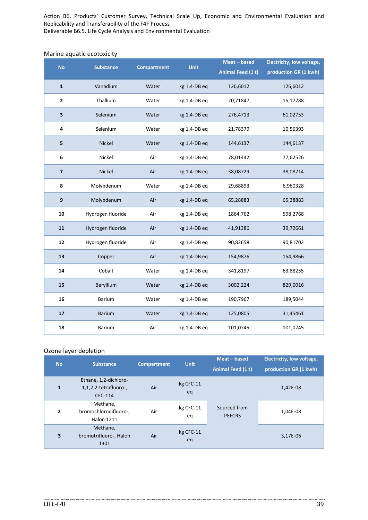Deliverable B6.5. Life Cycle Analysis and Environmental Evaluation

#### Marine aquatic ecotoxicity

| <b>No</b>               | <b>Substance</b>  |                    | Unit         | Meat - based      | <b>Electricity, low voltage,</b> |
|-------------------------|-------------------|--------------------|--------------|-------------------|----------------------------------|
|                         |                   | <b>Compartment</b> |              | Animal Feed (1 t) | production GR (1 kwh)            |
| $\mathbf{1}$            | Vanadium          | Water              | kg 1,4-DB eq | 126,6012          | 126,6012                         |
| $\mathbf{2}$            | Thallium          | Water              | kg 1,4-DB eq | 20,71847          | 15,17288                         |
| 3                       | Selenium          | Water              | kg 1,4-DB eq | 276,4713          | 61,02753                         |
| 4                       | Selenium          | Water              | kg 1,4-DB eq | 21,78379          | 10,56393                         |
| 5                       | <b>Nickel</b>     | Water              | kg 1,4-DB eq | 144,6137          | 144,6137                         |
| 6                       | Nickel            | Air                | kg 1,4-DB eq | 78,01442          | 77,62526                         |
| $\overline{\mathbf{z}}$ | Nickel            | Air                | kg 1,4-DB eq | 38,08729          | 38,08714                         |
| 8                       | Molybdenum        | Water              | kg 1,4-DB eq | 29,68893          | 6,960328                         |
| 9                       | Molybdenum        | Air                | kg 1,4-DB eq | 65,28883          | 65,28883                         |
| 10                      | Hydrogen fluoride | Air                | kg 1,4-DB eq | 1864,762          | 598,2768                         |
| 11                      | Hydrogen fluoride | Air                | kg 1,4-DB eq | 41,91386          | 39,72661                         |
| 12                      | Hydrogen fluoride | Air                | kg 1,4-DB eq | 90,82658          | 90,81702                         |
| 13                      | Copper            | Air                | kg 1,4-DB eq | 154,9876          | 154,9866                         |
| 14                      | Cobalt            | Water              | kg 1,4-DB eq | 341,8197          | 63,88255                         |
| 15                      | Beryllium         | Water              | kg 1,4-DB eq | 3002,224          | 829,0016                         |
| 16                      | Barium            | Water              | kg 1,4-DB eq | 190,7967          | 189,5044                         |
| 17                      | <b>Barium</b>     | Water              | kg 1,4-DB eq | 125,0805          | 31,45461                         |
| 18                      | Barium            | Air                | kg 1,4-DB eq | 101,0745          | 101,0745                         |

# Ozone layer depletion

| <b>No</b>               | <b>Substance</b>                                             | <b>Compartment</b> | <b>Unit</b>     | Meat - based<br>Animal Feed (1 t) | Electricity, low voltage,<br>production GR (1 kwh) |
|-------------------------|--------------------------------------------------------------|--------------------|-----------------|-----------------------------------|----------------------------------------------------|
| 1                       | Ethane, 1,2-dichloro-<br>1, 1, 2, 2-tetrafluoro-,<br>CFC-114 | Air                | kg CFC-11<br>eq | Sourced from<br><b>PEFCRS</b>     | 1,42E-08                                           |
| $\overline{2}$          | Methane,<br>bromochlorodifluoro-,<br><b>Halon 1211</b>       | Air                | kg CFC-11<br>eq |                                   | 1,04E-08                                           |
| $\overline{\mathbf{3}}$ | Methane,<br>bromotrifluoro-, Halon<br>1301                   | Air                | kg CFC-11<br>eq |                                   | 3,17E-06                                           |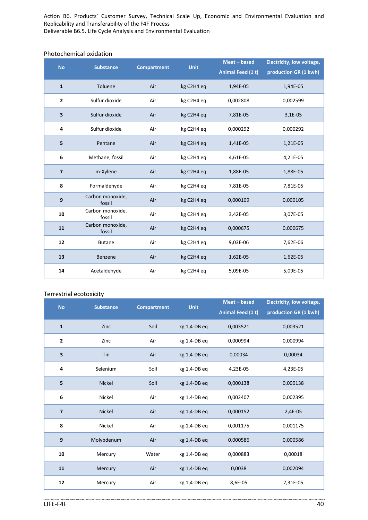Deliverable B6.5. Life Cycle Analysis and Environmental Evaluation

#### Photochemical oxidation

| <b>No</b>      | <b>Substance</b>           | <b>Compartment</b> | <b>Unit</b> | Meat - based      | Electricity, low voltage, |
|----------------|----------------------------|--------------------|-------------|-------------------|---------------------------|
|                |                            |                    |             | Animal Feed (1 t) | production GR (1 kwh)     |
| $\mathbf{1}$   | Toluene                    | Air                | kg C2H4 eq  | 1,94E-05          | 1,94E-05                  |
| $\overline{2}$ | Sulfur dioxide             | Air                | kg C2H4 eq  | 0,002808          | 0,002599                  |
| 3              | Sulfur dioxide             | Air                | kg C2H4 eq  | 7,81E-05          | $3,1E-05$                 |
| 4              | Sulfur dioxide             | Air                | kg C2H4 eq  | 0,000292          | 0,000292                  |
| 5              | Pentane                    | Air                | kg C2H4 eq  | 1,41E-05          | 1,21E-05                  |
| 6              | Methane, fossil            | Air                | kg C2H4 eq  | 4,61E-05          | 4,21E-05                  |
| $\overline{7}$ | m-Xylene                   | Air                | kg C2H4 eq  | 1,88E-05          | 1,88E-05                  |
| 8              | Formaldehyde               | Air                | kg C2H4 eq  | 7,81E-05          | 7,81E-05                  |
| 9              | Carbon monoxide,<br>fossil | Air                | kg C2H4 eq  | 0,000109          | 0,000105                  |
| 10             | Carbon monoxide,<br>fossil | Air                | kg C2H4 eq  | 3,42E-05          | 3,07E-05                  |
| 11             | Carbon monoxide,<br>fossil | Air                | kg C2H4 eq  | 0,000675          | 0,000675                  |
| 12             | <b>Butane</b>              | Air                | kg C2H4 eq  | 9,03E-06          | 7,62E-06                  |
| 13             | <b>Benzene</b>             | Air                | kg C2H4 eq  | 1,62E-05          | 1,62E-05                  |
| 14             | Acetaldehyde               | Air                | kg C2H4 eq  | 5,09E-05          | 5,09E-05                  |

### Terrestrial ecotoxicity

| <b>No</b>               | <b>Substance</b> | <b>Compartment</b> | Unit         | Meat - based     | Electricity, low voltage, |
|-------------------------|------------------|--------------------|--------------|------------------|---------------------------|
|                         |                  |                    |              | Animal Feed (1t) | production GR (1 kwh)     |
| $\mathbf{1}$            | Zinc             | Soil               | kg 1,4-DB eq | 0,003521         | 0,003521                  |
| $\overline{2}$          | Zinc             | Air                | kg 1,4-DB eq | 0,000994         | 0,000994                  |
| $\overline{\mathbf{3}}$ | Tin              | Air                | kg 1,4-DB eq | 0,00034          | 0,00034                   |
| 4                       | Selenium         | Soil               | kg 1,4-DB eq | 4,23E-05         | 4,23E-05                  |
| 5                       | Nickel           | Soil               | kg 1,4-DB eq | 0,000138         | 0,000138                  |
| 6                       | Nickel           | Air                | kg 1,4-DB eq | 0,002407         | 0,002395                  |
| $\overline{7}$          | <b>Nickel</b>    | Air                | kg 1,4-DB eq | 0,000152         | 2,4E-05                   |
| 8                       | Nickel           | Air                | kg 1,4-DB eq | 0,001175         | 0,001175                  |
| $\mathbf{9}$            | Molybdenum       | Air                | kg 1,4-DB eq | 0,000586         | 0,000586                  |
| 10                      | Mercury          | Water              | kg 1,4-DB eq | 0,000883         | 0,00018                   |
| 11                      | Mercury          | Air                | kg 1,4-DB eq | 0,0038           | 0,002094                  |
| 12                      | Mercury          | Air                | kg 1,4-DB eq | 8,6E-05          | 7,31E-05                  |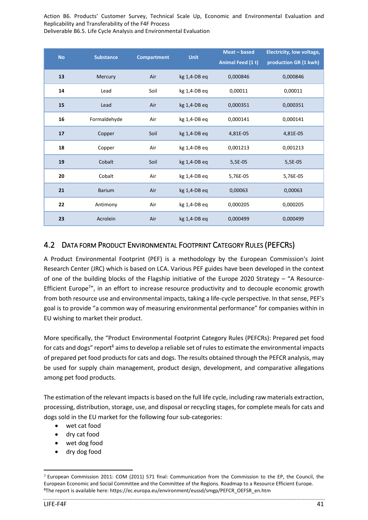Deliverable B6.5. Life Cycle Analysis and Environmental Evaluation

| <b>No</b> | <b>Substance</b> | <b>Compartment</b> | Unit         | Meat - based      | Electricity, low voltage, |
|-----------|------------------|--------------------|--------------|-------------------|---------------------------|
|           |                  |                    |              | Animal Feed (1 t) | production GR (1 kwh)     |
| 13        | Mercury          | Air                | kg 1,4-DB eq | 0,000846          | 0,000846                  |
| 14        | Lead             | Soil               | kg 1,4-DB eq | 0,00011           | 0,00011                   |
| 15        | Lead             | Air                | kg 1,4-DB eq | 0,000351          | 0,000351                  |
| 16        | Formaldehyde     | Air                | kg 1,4-DB eq | 0,000141          | 0,000141                  |
| 17        | Copper           | Soil               | $kg1,4-DBeq$ | 4,81E-05          | 4,81E-05                  |
| 18        | Copper           | Air                | kg 1,4-DB eq | 0,001213          | 0,001213                  |
| 19        | Cobalt           | Soil               | kg 1,4-DB eq | 5,5E-05           | 5,5E-05                   |
| 20        | Cobalt           | Air                | kg 1,4-DB eq | 5,76E-05          | 5,76E-05                  |
| 21        | <b>Barium</b>    | Air                | kg 1,4-DB eq | 0,00063           | 0,00063                   |
| 22        | Antimony         | Air                | kg 1,4-DB eq | 0,000205          | 0,000205                  |
| 23        | Acrolein         | Air                | $kg1,4-DBeq$ | 0,000499          | 0,000499                  |

# 4.2 DATA FORM PRODUCT ENVIRONMENTAL FOOTPRINT CATEGORY RULES (PEFCRS)

A Product Environmental Footprint (PEF) is a methodology by the European Commission's Joint Research Center (JRC) which is based on LCA. Various PEF guides have been developed in the context of one of the building blocks of the Flagship initiative of the Europe 2020 Strategy – "A Resource-Efficient Europe<sup>7</sup>", in an effort to increase resource productivity and to decouple economic growth from both resource use and environmental impacts, taking a life-cycle perspective. In that sense, PEF's goal is to provide "a common way of measuring environmental performance" for companies within in EU wishing to market their product.

More specifically, the "Product Environmental Footprint Category Rules (PEFCRs): Prepared pet food for cats and dogs" report<sup>8</sup> aims to develop a reliable set of rules to estimate the environmental impacts of prepared pet food products for cats and dogs. The results obtained through the PEFCR analysis, may be used for supply chain management, product design, development, and comparative allegations among pet food products.

The estimation of the relevant impacts is based on the full life cycle, including raw materials extraction, processing, distribution, storage, use, and disposal or recycling stages, for complete meals for cats and dogs sold in the EU market for the following four sub-categories:

- wet cat food
- dry cat food
- wet dog food
- dry dog food

<sup>7</sup> European Commission 2011: COM (2011) 571 final: Communication from the Commission to the EP, the Council, the European Economic and Social Committee and the Committee of the Regions. Roadmap to a Resource Efficient Europe. 8The report is available here: https://ec.europa.eu/environment/eussd/smgp/PEFCR\_OEFSR\_en.htm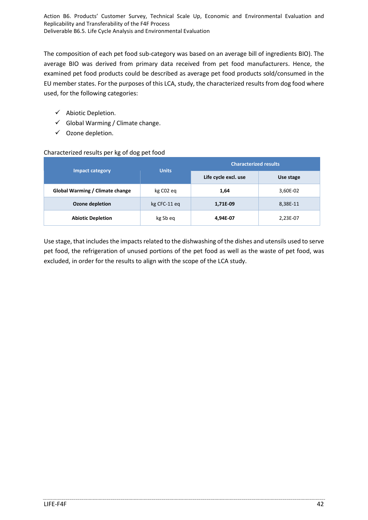The composition of each pet food sub-category was based on an average bill of ingredients BIO). The average BIO was derived from primary data received from pet food manufacturers. Hence, the examined pet food products could be described as average pet food products sold/consumed in the EU member states. For the purposes of this LCA, study, the characterized results from dog food where used, for the following categories:

- ✓ Abiotic Depletion.
- $\checkmark$  Global Warming / Climate change.
- ✓ Ozone depletion.

#### Characterized results per kg of dog pet food

|                                 | <b>Units</b>          | <b>Characterized results</b> |           |  |
|---------------------------------|-----------------------|------------------------------|-----------|--|
| <b>Impact category</b>          |                       | Life cycle excl. use         | Use stage |  |
| Global Warming / Climate change | kg C <sub>02</sub> eq | 1,64                         | 3,60E-02  |  |
| Ozone depletion                 | kg CFC-11 eq          | 1,71E-09                     | 8,38E-11  |  |
| <b>Abiotic Depletion</b>        | kg Sb eq              | 4,94E-07                     | 2,23E-07  |  |

Use stage, that includes the impacts related to the dishwashing of the dishes and utensils used to serve pet food, the refrigeration of unused portions of the pet food as well as the waste of pet food, was excluded, in order for the results to align with the scope of the LCA study.